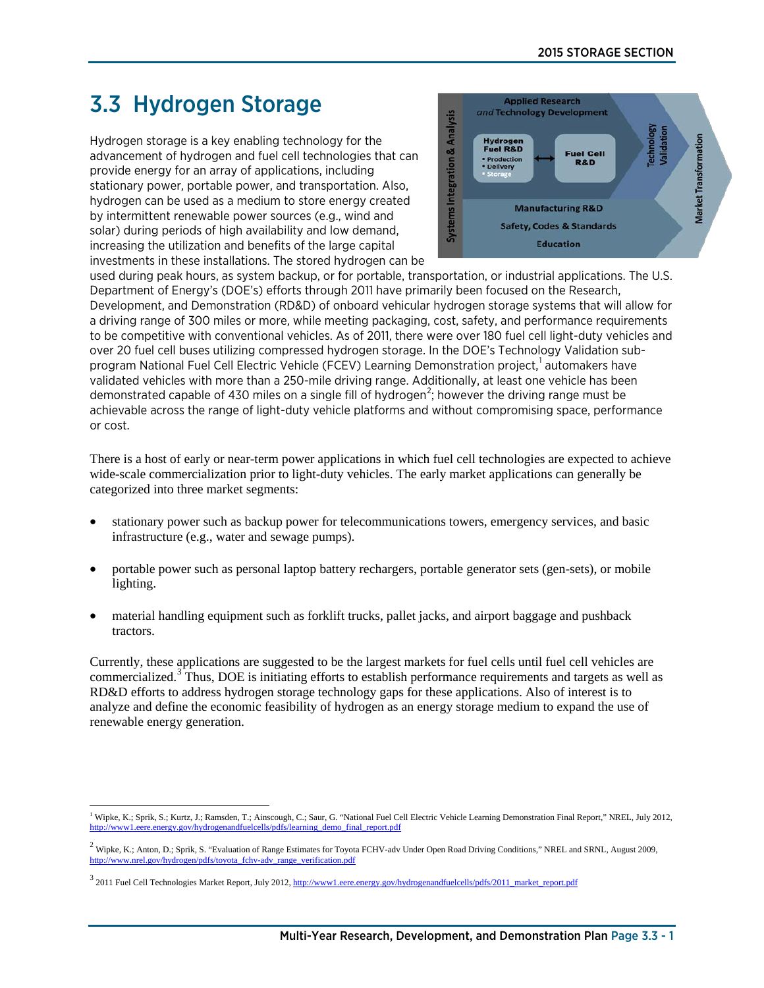# 3.3 Hydrogen Storage

Hydrogen storage is a key enabling technology for the advancement of hydrogen and fuel cell technologies that can provide energy for an array of applications, including stationary power, portable power, and transportation. Also, hydrogen can be used as a medium to store energy created by intermittent renewable power sources (e.g., wind and solar) during periods of high availability and low demand, increasing the utilization and benefits of the large capital investments in these installations. The stored hydrogen can be



used during peak hours, as system backup, or for portable, transportation, or industrial applications. The U.S. Department of Energy's (DOE's) efforts through 2011 have primarily been focused on the Research, Development, and Demonstration (RD&D) of onboard vehicular hydrogen storage systems that will allow for a driving range of 300 miles or more, while meeting packaging, cost, safety, and performance requirements to be competitive with conventional vehicles. As of 2011, there were over 180 fuel cell light-duty vehicles and over 20 fuel cell buses utilizing compressed hydrogen storage. In the DOE's Technology Validation sub-program National Fuel Cell Electric Vehicle (FCEV) Learning Demonstration project,<sup>[1](#page-0-0)</sup> automakers have validated vehicles with more than a 250-mile driving range. Additionally, at least one vehicle has been demonstrated capable of 430 miles on a single fill of hydrogen<sup>[2](#page-0-1)</sup>; however the driving range must be achievable across the range of light-duty vehicle platforms and without compromising space, performance or cost.

There is a host of early or near-term power applications in which fuel cell technologies are expected to achieve wide-scale commercialization prior to light-duty vehicles. The early market applications can generally be categorized into three market segments:

- stationary power such as backup power for telecommunications towers, emergency services, and basic infrastructure (e.g., water and sewage pumps).
- portable power such as personal laptop battery rechargers, portable generator sets (gen-sets), or mobile lighting.
- material handling equipment such as forklift trucks, pallet jacks, and airport baggage and pushback tractors.

Currently, these applications are suggested to be the largest markets for fuel cells until fuel cell vehicles are commercialized.<sup>[3](#page-0-2)</sup> Thus, DOE is initiating efforts to establish performance requirements and targets as well as RD&D efforts to address hydrogen storage technology gaps for these applications. Also of interest is to analyze and define the economic feasibility of hydrogen as an energy storage medium to expand the use of renewable energy generation.

<span id="page-0-0"></span> $\overline{a}$ <sup>1</sup> Wipke, K.; Sprik, S.; Kurtz, J.; Ramsden, T.; Ainscough, C.; Saur, G. "National Fuel Cell Electric Vehicle Learning Demonstration Final Report," NREL, July 2012, ells/pdfs/learning\_demo\_final\_report.pdf

<span id="page-0-1"></span> $^2$  Wipke, K.; Anton, D.; Sprik, S. "Evaluation of Range Estimates for Toyota FCHV-adv Under Open Road Driving Conditions," NREL and SRNL, August 2009, [http://www.nrel.gov/hydrogen/pdfs/toyota\\_fchv-adv\\_range\\_verification.pdf](http://www.nrel.gov/hydrogen/pdfs/toyota_fchv-adv_range_verification.pdf)

<span id="page-0-2"></span> $3$  2011 Fuel Cell Technologies Market Report, July 2012[, http://www1.eere.energy.gov/hydrogenandfuelcells/pdfs/2011\\_market\\_report.pdf](http://www1.eere.energy.gov/hydrogenandfuelcells/pdfs/2011_market_report.pdf)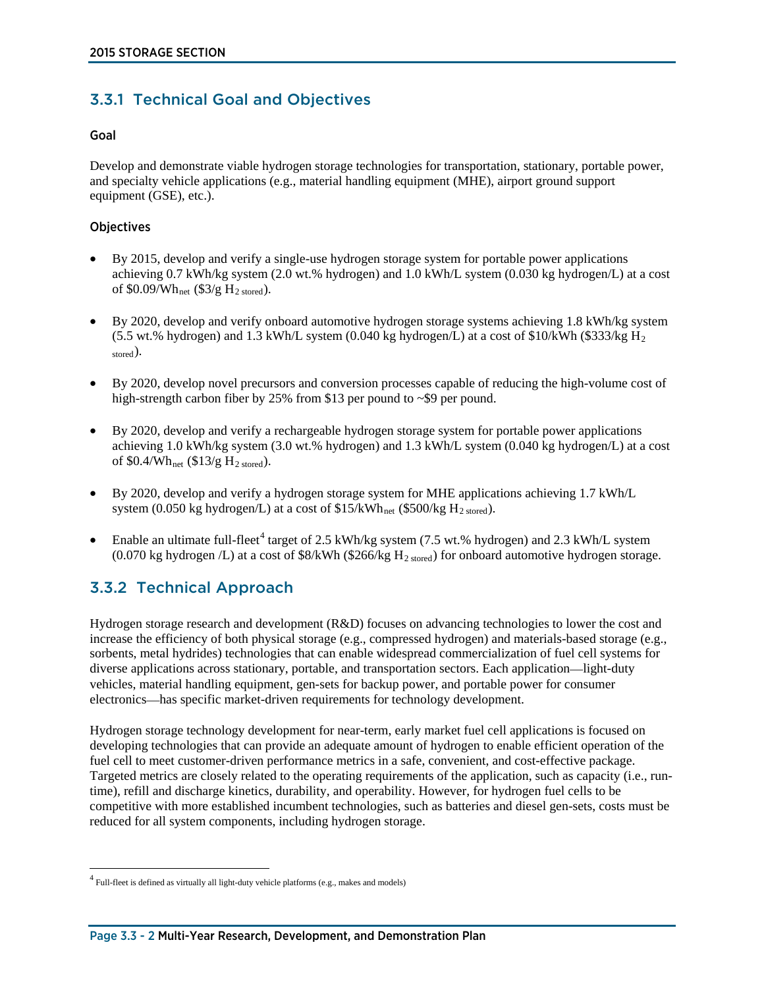# 3.3.1 Technical Goal and Objectives

### Goal

Develop and demonstrate viable hydrogen storage technologies for transportation, stationary, portable power, and specialty vehicle applications (e.g., material handling equipment (MHE), airport ground support equipment (GSE), etc.).

# **Objectives**

- By 2015, develop and verify a single-use hydrogen storage system for portable power applications achieving 0.7 kWh/kg system (2.0 wt.% hydrogen) and 1.0 kWh/L system (0.030 kg hydrogen/L) at a cost of  $$0.09/Wh_{net}$  ( $$3/g H<sub>2</sub> stored$ ).
- By 2020, develop and verify onboard automotive hydrogen storage systems achieving 1.8 kWh/kg system (5.5 wt.% hydrogen) and 1.3 kWh/L system (0.040 kg hydrogen/L) at a cost of \$10/kWh (\$333/kg H<sub>2</sub>) stored).
- By 2020, develop novel precursors and conversion processes capable of reducing the high-volume cost of high-strength carbon fiber by 25% from \$13 per pound to ~\$9 per pound.
- By 2020, develop and verify a rechargeable hydrogen storage system for portable power applications achieving 1.0 kWh/kg system (3.0 wt.% hydrogen) and 1.3 kWh/L system (0.040 kg hydrogen/L) at a cost of  $$0.4/Wh_{net}$  ( $$13/g H_{2 stored}$ ).
- By 2020, develop and verify a hydrogen storage system for MHE applications achieving 1.7 kWh/L system (0.050 kg hydrogen/L) at a cost of  $$15/kWh_{net}$  (\$500/kg H<sub>2 stored</sub>).
- Enable an ultimate full-fleet<sup>[4](#page-1-0)</sup> target of 2.5 kWh/kg system (7.5 wt.% hydrogen) and 2.3 kWh/L system (0.070 kg hydrogen  $/L$ ) at a cost of \$8/kWh (\$266/kg  $H_{2\text{ stored}}$ ) for onboard automotive hydrogen storage.

# 3.3.2 Technical Approach

 $\overline{a}$ 

Hydrogen storage research and development (R&D) focuses on advancing technologies to lower the cost and increase the efficiency of both physical storage (e.g., compressed hydrogen) and materials-based storage (e.g., sorbents, metal hydrides) technologies that can enable widespread commercialization of fuel cell systems for diverse applications across stationary, portable, and transportation sectors. Each application—light-duty vehicles, material handling equipment, gen-sets for backup power, and portable power for consumer electronics—has specific market-driven requirements for technology development.

Hydrogen storage technology development for near-term, early market fuel cell applications is focused on developing technologies that can provide an adequate amount of hydrogen to enable efficient operation of the fuel cell to meet customer-driven performance metrics in a safe, convenient, and cost-effective package. Targeted metrics are closely related to the operating requirements of the application, such as capacity (i.e., runtime), refill and discharge kinetics, durability, and operability. However, for hydrogen fuel cells to be competitive with more established incumbent technologies, such as batteries and diesel gen-sets, costs must be reduced for all system components, including hydrogen storage.

<span id="page-1-0"></span> $^4$  Full-fleet is defined as virtually all light-duty vehicle platforms (e.g., makes and models)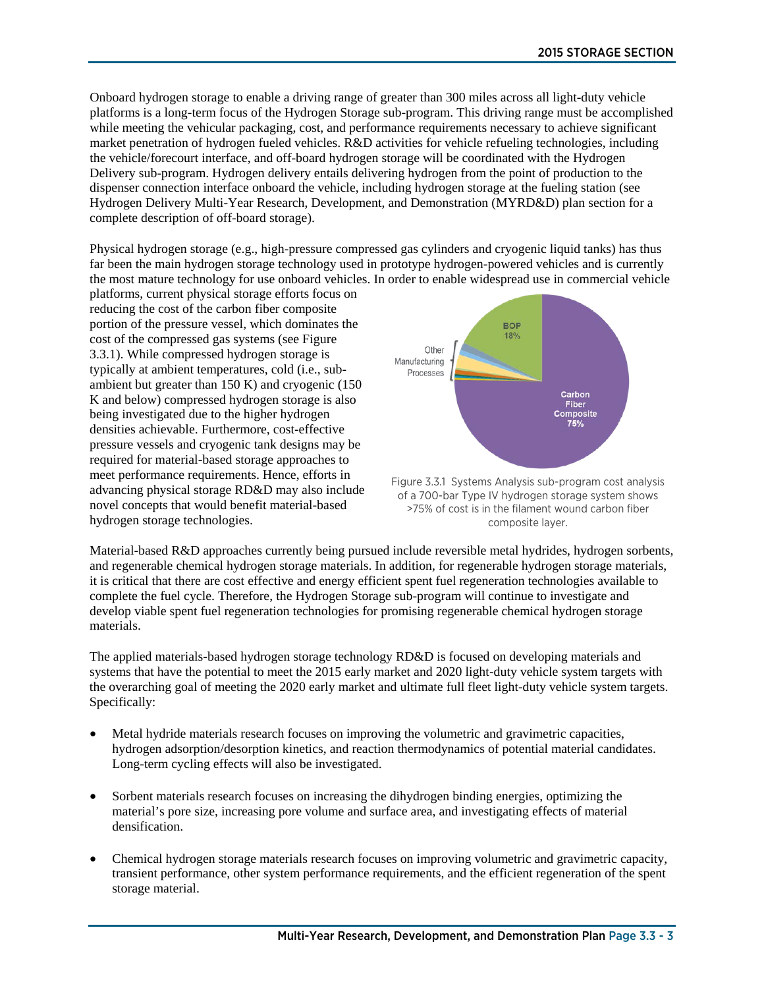Onboard hydrogen storage to enable a driving range of greater than 300 miles across all light-duty vehicle platforms is a long-term focus of the Hydrogen Storage sub-program. This driving range must be accomplished while meeting the vehicular packaging, cost, and performance requirements necessary to achieve significant market penetration of hydrogen fueled vehicles. R&D activities for vehicle refueling technologies, including the vehicle/forecourt interface, and off-board hydrogen storage will be coordinated with the Hydrogen Delivery sub-program. Hydrogen delivery entails delivering hydrogen from the point of production to the dispenser connection interface onboard the vehicle, including hydrogen storage at the fueling station (see Hydrogen Delivery Multi-Year Research, Development, and Demonstration (MYRD&D) plan section for a complete description of off-board storage).

Physical hydrogen storage (e.g., high-pressure compressed gas cylinders and cryogenic liquid tanks) has thus far been the main hydrogen storage technology used in prototype hydrogen-powered vehicles and is currently the most mature technology for use onboard vehicles. In order to enable widespread use in commercial vehicle

platforms, current physical storage efforts focus on reducing the cost of the carbon fiber composite portion of the pressure vessel, which dominates the cost of the compressed gas systems (see Figure 3.3.1). While compressed hydrogen storage is typically at ambient temperatures, cold (i.e., subambient but greater than 150 K) and cryogenic (150 K and below) compressed hydrogen storage is also being investigated due to the higher hydrogen densities achievable. Furthermore, cost-effective pressure vessels and cryogenic tank designs may be required for material-based storage approaches to meet performance requirements. Hence, efforts in advancing physical storage RD&D may also include novel concepts that would benefit material-based hydrogen storage technologies.



Figure 3.3.1 Systems Analysis sub-program cost analysis of a 700-bar Type IV hydrogen storage system shows >75% of cost is in the filament wound carbon fiber composite layer.

Material-based R&D approaches currently being pursued include reversible metal hydrides, hydrogen sorbents, and regenerable chemical hydrogen storage materials. In addition, for regenerable hydrogen storage materials, it is critical that there are cost effective and energy efficient spent fuel regeneration technologies available to complete the fuel cycle. Therefore, the Hydrogen Storage sub-program will continue to investigate and develop viable spent fuel regeneration technologies for promising regenerable chemical hydrogen storage materials.

The applied materials-based hydrogen storage technology RD&D is focused on developing materials and systems that have the potential to meet the 2015 early market and 2020 light-duty vehicle system targets with the overarching goal of meeting the 2020 early market and ultimate full fleet light-duty vehicle system targets. Specifically:

- Metal hydride materials research focuses on improving the volumetric and gravimetric capacities, hydrogen adsorption/desorption kinetics, and reaction thermodynamics of potential material candidates. Long-term cycling effects will also be investigated.
- Sorbent materials research focuses on increasing the dihydrogen binding energies, optimizing the material's pore size, increasing pore volume and surface area, and investigating effects of material densification.
- Chemical hydrogen storage materials research focuses on improving volumetric and gravimetric capacity, transient performance, other system performance requirements, and the efficient regeneration of the spent storage material.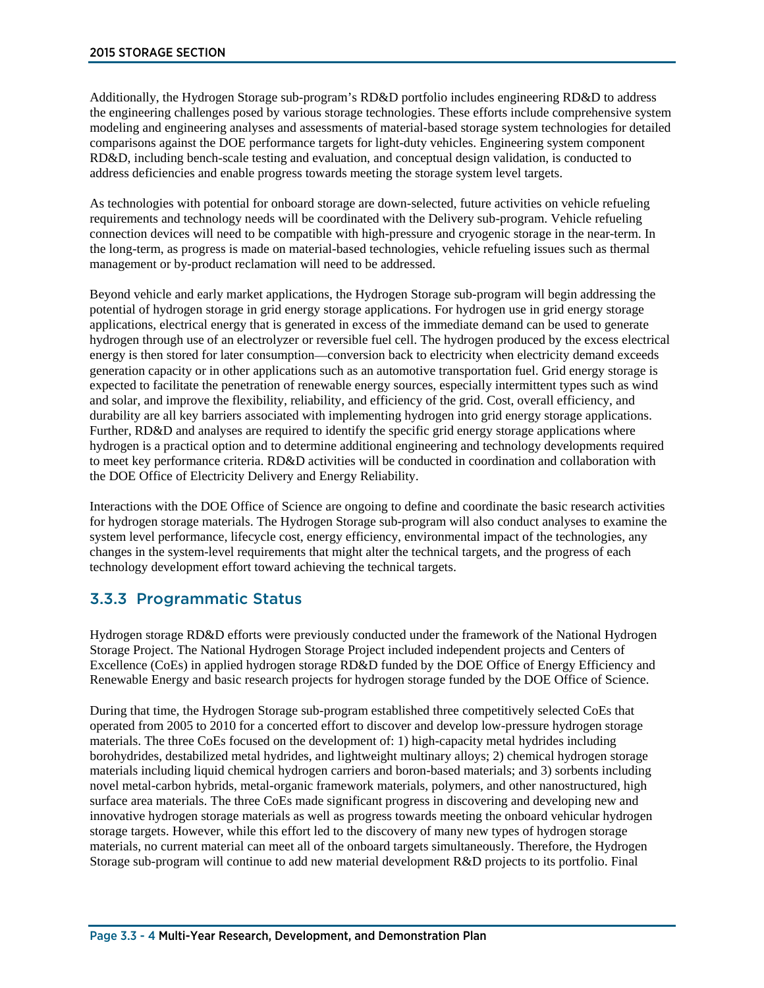Additionally, the Hydrogen Storage sub-program's RD&D portfolio includes engineering RD&D to address the engineering challenges posed by various storage technologies. These efforts include comprehensive system modeling and engineering analyses and assessments of material-based storage system technologies for detailed comparisons against the DOE performance targets for light-duty vehicles. Engineering system component RD&D, including bench-scale testing and evaluation, and conceptual design validation, is conducted to address deficiencies and enable progress towards meeting the storage system level targets.

As technologies with potential for onboard storage are down-selected, future activities on vehicle refueling requirements and technology needs will be coordinated with the Delivery sub-program. Vehicle refueling connection devices will need to be compatible with high-pressure and cryogenic storage in the near-term. In the long-term, as progress is made on material-based technologies, vehicle refueling issues such as thermal management or by-product reclamation will need to be addressed.

Beyond vehicle and early market applications, the Hydrogen Storage sub-program will begin addressing the potential of hydrogen storage in grid energy storage applications. For hydrogen use in grid energy storage applications, electrical energy that is generated in excess of the immediate demand can be used to generate hydrogen through use of an electrolyzer or reversible fuel cell. The hydrogen produced by the excess electrical energy is then stored for later consumption—conversion back to electricity when electricity demand exceeds generation capacity or in other applications such as an automotive transportation fuel. Grid energy storage is expected to facilitate the penetration of renewable energy sources, especially intermittent types such as wind and solar, and improve the flexibility, reliability, and efficiency of the grid. Cost, overall efficiency, and durability are all key barriers associated with implementing hydrogen into grid energy storage applications. Further, RD&D and analyses are required to identify the specific grid energy storage applications where hydrogen is a practical option and to determine additional engineering and technology developments required to meet key performance criteria. RD&D activities will be conducted in coordination and collaboration with the DOE Office of Electricity Delivery and Energy Reliability.

Interactions with the DOE Office of Science are ongoing to define and coordinate the basic research activities for hydrogen storage materials. The Hydrogen Storage sub-program will also conduct analyses to examine the system level performance, lifecycle cost, energy efficiency, environmental impact of the technologies, any changes in the system-level requirements that might alter the technical targets, and the progress of each technology development effort toward achieving the technical targets.

# 3.3.3 Programmatic Status

Hydrogen storage RD&D efforts were previously conducted under the framework of the National Hydrogen Storage Project. The National Hydrogen Storage Project included independent projects and Centers of Excellence (CoEs) in applied hydrogen storage RD&D funded by the DOE Office of Energy Efficiency and Renewable Energy and basic research projects for hydrogen storage funded by the DOE Office of Science.

During that time, the Hydrogen Storage sub-program established three competitively selected CoEs that operated from 2005 to 2010 for a concerted effort to discover and develop low-pressure hydrogen storage materials. The three CoEs focused on the development of: 1) high-capacity metal hydrides including borohydrides, destabilized metal hydrides, and lightweight multinary alloys; 2) chemical hydrogen storage materials including liquid chemical hydrogen carriers and boron-based materials; and 3) sorbents including novel metal-carbon hybrids, metal-organic framework materials, polymers, and other nanostructured, high surface area materials. The three CoEs made significant progress in discovering and developing new and innovative hydrogen storage materials as well as progress towards meeting the onboard vehicular hydrogen storage targets. However, while this effort led to the discovery of many new types of hydrogen storage materials, no current material can meet all of the onboard targets simultaneously. Therefore, the Hydrogen Storage sub-program will continue to add new material development R&D projects to its portfolio. Final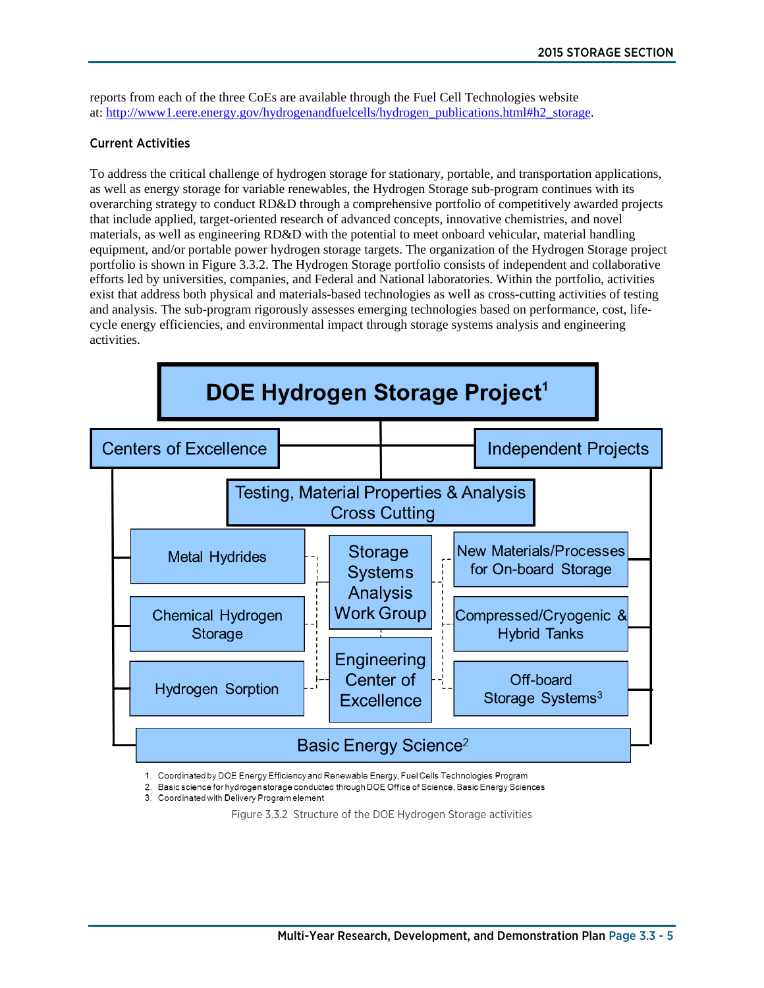reports from each of the three CoEs are available through the Fuel Cell Technologies website at: [http://www1.eere.energy.gov/hydrogenandfuelcells/hydrogen\\_publications.html#h2\\_storage.](http://www1.eere.energy.gov/hydrogenandfuelcells/hydrogen_publications.html#h2_storage)

# Current Activities

To address the critical challenge of hydrogen storage for stationary, portable, and transportation applications, as well as energy storage for variable renewables, the Hydrogen Storage sub-program continues with its overarching strategy to conduct RD&D through a comprehensive portfolio of competitively awarded projects that include applied, target-oriented research of advanced concepts, innovative chemistries, and novel materials, as well as engineering RD&D with the potential to meet onboard vehicular, material handling equipment, and/or portable power hydrogen storage targets. The organization of the Hydrogen Storage project portfolio is shown in Figure 3.3.2. The Hydrogen Storage portfolio consists of independent and collaborative efforts led by universities, companies, and Federal and National laboratories. Within the portfolio, activities exist that address both physical and materials-based technologies as well as cross-cutting activities of testing and analysis. The sub-program rigorously assesses emerging technologies based on performance, cost, lifecycle energy efficiencies, and environmental impact through storage systems analysis and engineering activities.



1. Coordinated by DOE Energy Efficiency and Renewable Energy, Fuel Cells Technologies Program

2. Basic science for hydrogen storage conducted through DOE Office of Science, Basic Energy Sciences

3. Coordinated with Delivery Program element

Figure 3.3.2 Structure of the DOE Hydrogen Storage activities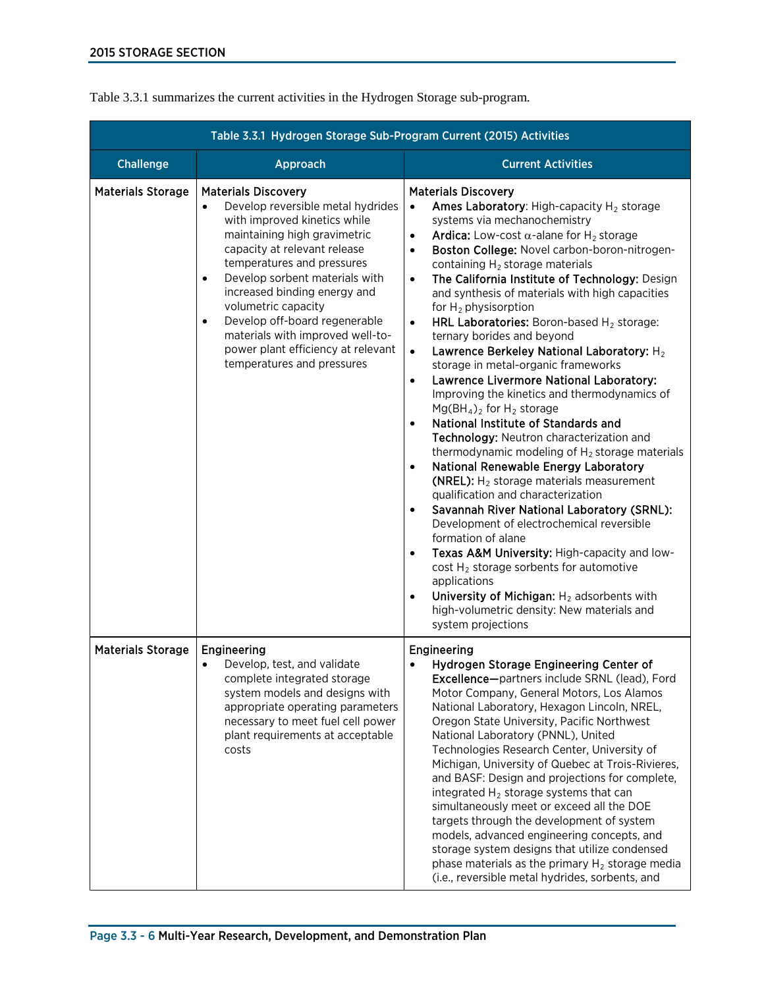|                          | Table 3.3.1 Hydrogen Storage Sub-Program Current (2015) Activities                                                                                                                                                                                                                                                                                                                                                                                                     |                                                                                                                                                                                                                                                                                                                                                                                                                                                                                                                                                                                                                                                                                                                                                                                                                                                                                                                                                                                                                                                                                                                                                                                                                                                                                                                                                                                                                                                                                                                          |
|--------------------------|------------------------------------------------------------------------------------------------------------------------------------------------------------------------------------------------------------------------------------------------------------------------------------------------------------------------------------------------------------------------------------------------------------------------------------------------------------------------|--------------------------------------------------------------------------------------------------------------------------------------------------------------------------------------------------------------------------------------------------------------------------------------------------------------------------------------------------------------------------------------------------------------------------------------------------------------------------------------------------------------------------------------------------------------------------------------------------------------------------------------------------------------------------------------------------------------------------------------------------------------------------------------------------------------------------------------------------------------------------------------------------------------------------------------------------------------------------------------------------------------------------------------------------------------------------------------------------------------------------------------------------------------------------------------------------------------------------------------------------------------------------------------------------------------------------------------------------------------------------------------------------------------------------------------------------------------------------------------------------------------------------|
| <b>Challenge</b>         | Approach                                                                                                                                                                                                                                                                                                                                                                                                                                                               | <b>Current Activities</b>                                                                                                                                                                                                                                                                                                                                                                                                                                                                                                                                                                                                                                                                                                                                                                                                                                                                                                                                                                                                                                                                                                                                                                                                                                                                                                                                                                                                                                                                                                |
| <b>Materials Storage</b> | <b>Materials Discovery</b><br>Develop reversible metal hydrides<br>$\bullet$<br>with improved kinetics while<br>maintaining high gravimetric<br>capacity at relevant release<br>temperatures and pressures<br>Develop sorbent materials with<br>$\bullet$<br>increased binding energy and<br>volumetric capacity<br>Develop off-board regenerable<br>$\bullet$<br>materials with improved well-to-<br>power plant efficiency at relevant<br>temperatures and pressures | <b>Materials Discovery</b><br>Ames Laboratory: High-capacity H <sub>2</sub> storage<br>$\bullet$<br>systems via mechanochemistry<br><b>Ardica:</b> Low-cost $\alpha$ -alane for H <sub>2</sub> storage<br>$\bullet$<br>Boston College: Novel carbon-boron-nitrogen-<br>$\bullet$<br>containing $H_2$ storage materials<br>The California Institute of Technology: Design<br>$\bullet$<br>and synthesis of materials with high capacities<br>for $H_2$ physisorption<br>HRL Laboratories: Boron-based H <sub>2</sub> storage:<br>$\bullet$<br>ternary borides and beyond<br>Lawrence Berkeley National Laboratory: H <sub>2</sub><br>$\bullet$<br>storage in metal-organic frameworks<br>Lawrence Livermore National Laboratory:<br>$\bullet$<br>Improving the kinetics and thermodynamics of<br>$Mg(BH_4)_2$ for $H_2$ storage<br>National Institute of Standards and<br>$\bullet$<br>Technology: Neutron characterization and<br>thermodynamic modeling of $H_2$ storage materials<br>National Renewable Energy Laboratory<br>$\bullet$<br>(NREL): $H_2$ storage materials measurement<br>qualification and characterization<br>Savannah River National Laboratory (SRNL):<br>$\bullet$<br>Development of electrochemical reversible<br>formation of alane<br>Texas A&M University: High-capacity and low-<br>$\bullet$<br>cost $H_2$ storage sorbents for automotive<br>applications<br>University of Michigan: $H_2$ adsorbents with<br>$\bullet$<br>high-volumetric density: New materials and<br>system projections |
| <b>Materials Storage</b> | Engineering<br>Develop, test, and validate<br>$\bullet$<br>complete integrated storage<br>system models and designs with<br>appropriate operating parameters<br>necessary to meet fuel cell power<br>plant requirements at acceptable<br>costs                                                                                                                                                                                                                         | Engineering<br>Hydrogen Storage Engineering Center of<br>$\bullet$<br>Excellence-partners include SRNL (lead), Ford<br>Motor Company, General Motors, Los Alamos<br>National Laboratory, Hexagon Lincoln, NREL,<br>Oregon State University, Pacific Northwest<br>National Laboratory (PNNL), United<br>Technologies Research Center, University of<br>Michigan, University of Quebec at Trois-Rivieres,<br>and BASF: Design and projections for complete,<br>integrated $H_2$ storage systems that can<br>simultaneously meet or exceed all the DOE<br>targets through the development of system<br>models, advanced engineering concepts, and<br>storage system designs that utilize condensed<br>phase materials as the primary $H_2$ storage media<br>(i.e., reversible metal hydrides, sorbents, and                                                                                                                                                                                                                                                                                                                                                                                                                                                                                                                                                                                                                                                                                                                 |

Table 3.3.1 summarizes the current activities in the Hydrogen Storage sub-program.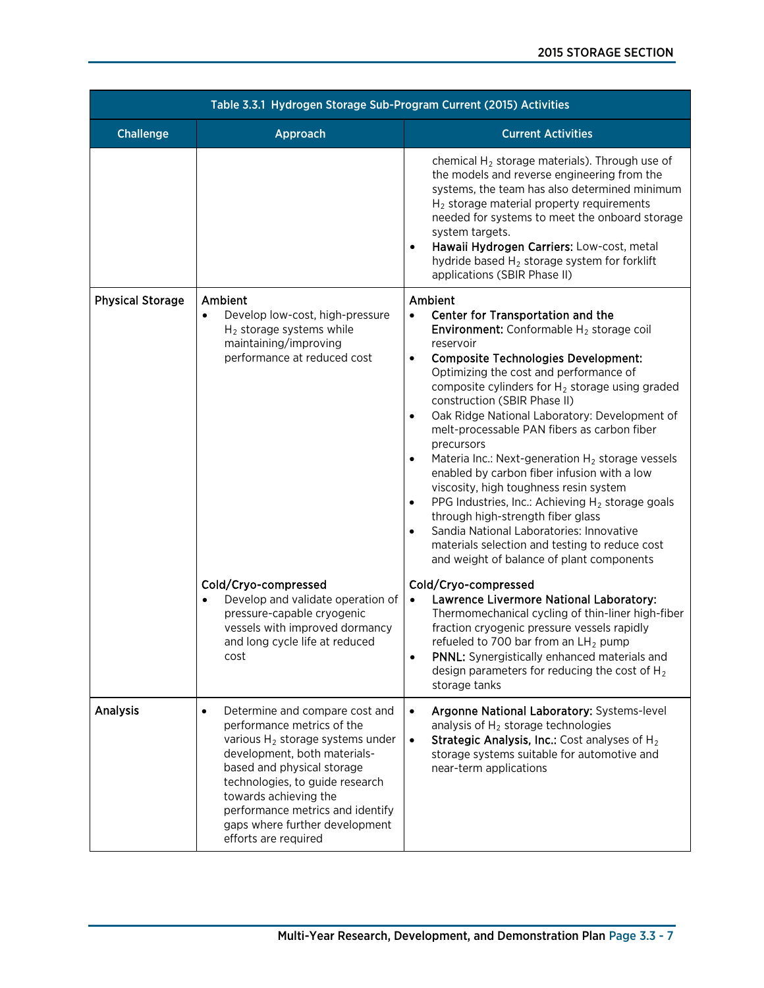| Table 3.3.1 Hydrogen Storage Sub-Program Current (2015) Activities |                                                                                                                                                                                                                                                                                                                                                   |                                                                                                                                                                                                                                                                                                                                                                                                                                                                                                                                                                                                                                                                                                                                                                                                                                                                     |  |  |  |  |
|--------------------------------------------------------------------|---------------------------------------------------------------------------------------------------------------------------------------------------------------------------------------------------------------------------------------------------------------------------------------------------------------------------------------------------|---------------------------------------------------------------------------------------------------------------------------------------------------------------------------------------------------------------------------------------------------------------------------------------------------------------------------------------------------------------------------------------------------------------------------------------------------------------------------------------------------------------------------------------------------------------------------------------------------------------------------------------------------------------------------------------------------------------------------------------------------------------------------------------------------------------------------------------------------------------------|--|--|--|--|
| <b>Challenge</b>                                                   | Approach                                                                                                                                                                                                                                                                                                                                          | <b>Current Activities</b>                                                                                                                                                                                                                                                                                                                                                                                                                                                                                                                                                                                                                                                                                                                                                                                                                                           |  |  |  |  |
|                                                                    |                                                                                                                                                                                                                                                                                                                                                   | chemical $H_2$ storage materials). Through use of<br>the models and reverse engineering from the<br>systems, the team has also determined minimum<br>$H_2$ storage material property requirements<br>needed for systems to meet the onboard storage<br>system targets.<br>Hawaii Hydrogen Carriers: Low-cost, metal<br>$\bullet$<br>hydride based $H_2$ storage system for forklift<br>applications (SBIR Phase II)                                                                                                                                                                                                                                                                                                                                                                                                                                                 |  |  |  |  |
| <b>Physical Storage</b>                                            | Ambient<br>Develop low-cost, high-pressure<br>$\bullet$<br>$H_2$ storage systems while<br>maintaining/improving<br>performance at reduced cost                                                                                                                                                                                                    | Ambient<br>Center for Transportation and the<br>$\bullet$<br><b>Environment:</b> Conformable $H_2$ storage coil<br>reservoir<br><b>Composite Technologies Development:</b><br>$\bullet$<br>Optimizing the cost and performance of<br>composite cylinders for $H_2$ storage using graded<br>construction (SBIR Phase II)<br>Oak Ridge National Laboratory: Development of<br>$\bullet$<br>melt-processable PAN fibers as carbon fiber<br>precursors<br>Materia Inc.: Next-generation $H_2$ storage vessels<br>enabled by carbon fiber infusion with a low<br>viscosity, high toughness resin system<br>PPG Industries, Inc.: Achieving $H_2$ storage goals<br>$\bullet$<br>through high-strength fiber glass<br>Sandia National Laboratories: Innovative<br>$\bullet$<br>materials selection and testing to reduce cost<br>and weight of balance of plant components |  |  |  |  |
|                                                                    | Cold/Cryo-compressed<br>Develop and validate operation of<br>pressure-capable cryogenic<br>vessels with improved dormancy<br>and long cycle life at reduced<br>cost                                                                                                                                                                               | Cold/Cryo-compressed<br>Lawrence Livermore National Laboratory:<br>$\bullet$<br>Thermomechanical cycling of thin-liner high-fiber<br>fraction cryogenic pressure vessels rapidly<br>refueled to 700 bar from an $LH_2$ pump<br>PNNL: Synergistically enhanced materials and<br>design parameters for reducing the cost of $H_2$<br>storage tanks                                                                                                                                                                                                                                                                                                                                                                                                                                                                                                                    |  |  |  |  |
| <b>Analysis</b>                                                    | $\bullet$<br>Determine and compare cost and<br>performance metrics of the<br>various H <sub>2</sub> storage systems under<br>development, both materials-<br>based and physical storage<br>technologies, to guide research<br>towards achieving the<br>performance metrics and identify<br>gaps where further development<br>efforts are required | Argonne National Laboratory: Systems-level<br>$\bullet$<br>analysis of $H_2$ storage technologies<br><b>Strategic Analysis, Inc.:</b> Cost analyses of $H_2$<br>$\bullet$<br>storage systems suitable for automotive and<br>near-term applications                                                                                                                                                                                                                                                                                                                                                                                                                                                                                                                                                                                                                  |  |  |  |  |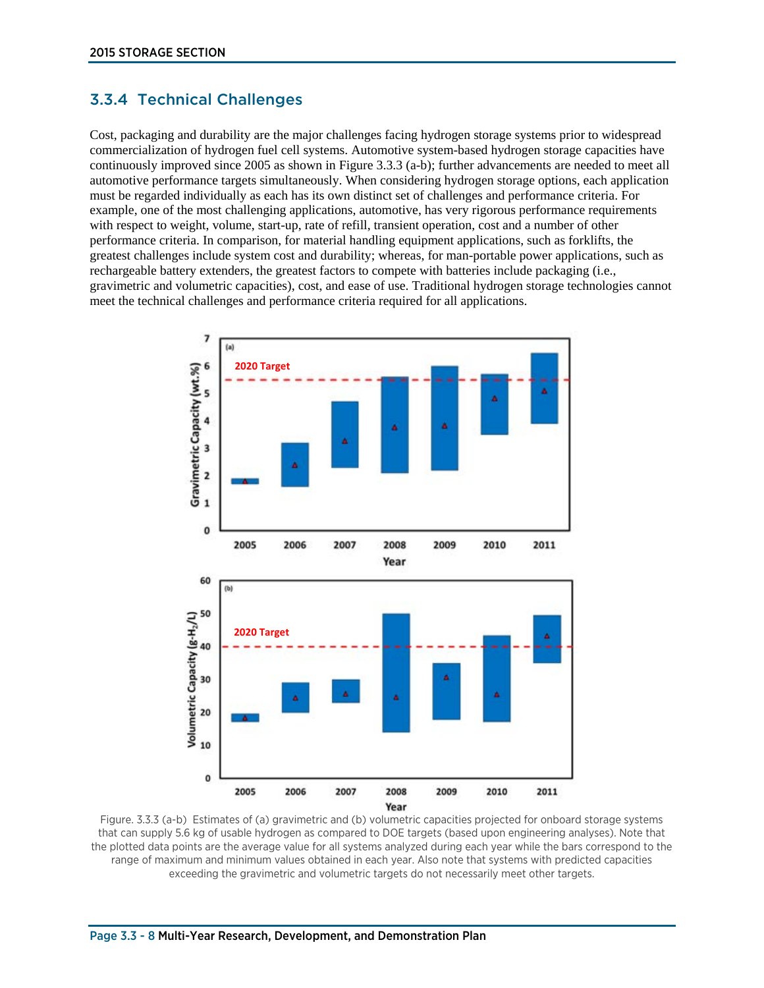# 3.3.4 Technical Challenges

Cost, packaging and durability are the major challenges facing hydrogen storage systems prior to widespread commercialization of hydrogen fuel cell systems. Automotive system-based hydrogen storage capacities have continuously improved since 2005 as shown in Figure 3.3.3 (a-b); further advancements are needed to meet all automotive performance targets simultaneously. When considering hydrogen storage options, each application must be regarded individually as each has its own distinct set of challenges and performance criteria. For example, one of the most challenging applications, automotive, has very rigorous performance requirements with respect to weight, volume, start-up, rate of refill, transient operation, cost and a number of other performance criteria. In comparison, for material handling equipment applications, such as forklifts, the greatest challenges include system cost and durability; whereas, for man-portable power applications, such as rechargeable battery extenders, the greatest factors to compete with batteries include packaging (i.e., gravimetric and volumetric capacities), cost, and ease of use. Traditional hydrogen storage technologies cannot meet the technical challenges and performance criteria required for all applications.



Figure. 3.3.3 (a-b) Estimates of (a) gravimetric and (b) volumetric capacities projected for onboard storage systems that can supply 5.6 kg of usable hydrogen as compared to DOE targets (based upon engineering analyses). Note that the plotted data points are the average value for all systems analyzed during each year while the bars correspond to the range of maximum and minimum values obtained in each year. Also note that systems with predicted capacities exceeding the gravimetric and volumetric targets do not necessarily meet other targets.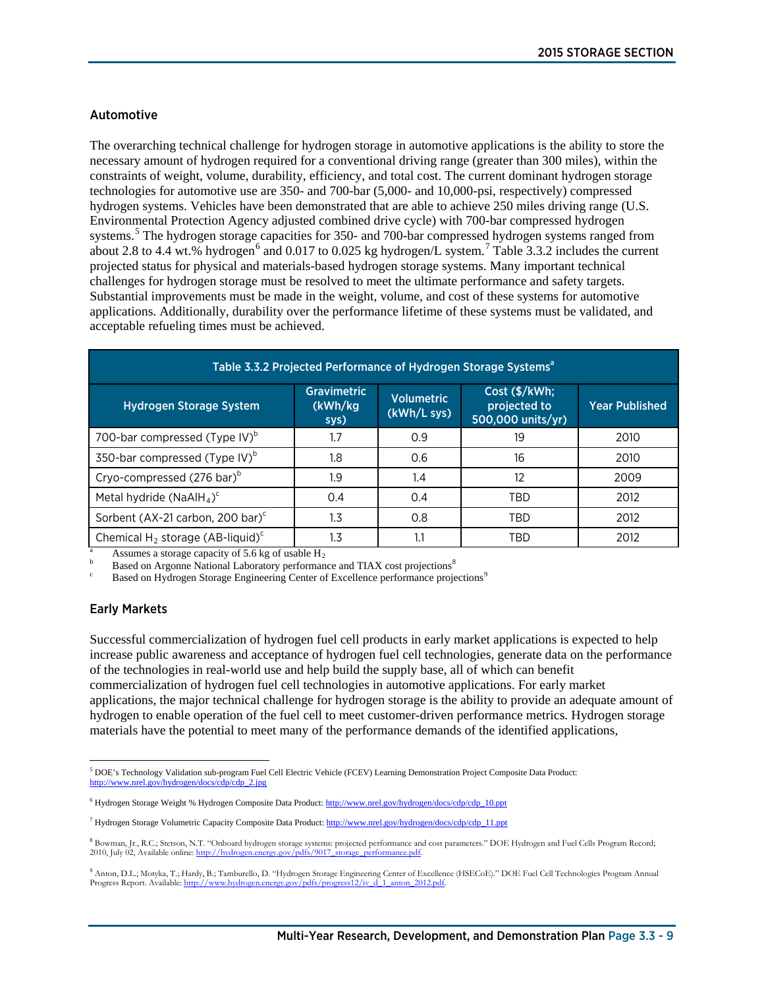## Automotive

The overarching technical challenge for hydrogen storage in automotive applications is the ability to store the necessary amount of hydrogen required for a conventional driving range (greater than 300 miles), within the constraints of weight, volume, durability, efficiency, and total cost. The current dominant hydrogen storage technologies for automotive use are 350- and 700-bar (5,000- and 10,000-psi, respectively) compressed hydrogen systems. Vehicles have been demonstrated that are able to achieve 250 miles driving range (U.S. Environmental Protection Agency adjusted combined drive cycle) with 700-bar compressed hydrogen systems. [5](#page-8-0) The hydrogen storage capacities for 350- and 700-bar compressed hydrogen systems ranged from about 2.8 to 4.4 wt.% hydrogen<sup>[6](#page-8-1)</sup> and 0.01[7](#page-8-2) to 0.025 kg hydrogen/L system.<sup>7</sup> Table 3.3.2 includes the current projected status for physical and materials-based hydrogen storage systems. Many important technical challenges for hydrogen storage must be resolved to meet the ultimate performance and safety targets. Substantial improvements must be made in the weight, volume, and cost of these systems for automotive applications. Additionally, durability over the performance lifetime of these systems must be validated, and acceptable refueling times must be achieved.

| Table 3.3.2 Projected Performance of Hydrogen Storage Systems <sup>a</sup> |                                       |                                  |                                                    |                       |  |  |
|----------------------------------------------------------------------------|---------------------------------------|----------------------------------|----------------------------------------------------|-----------------------|--|--|
| <b>Hydrogen Storage System</b>                                             | <b>Gravimetric</b><br>(kWh/kg<br>sys) | <b>Volumetric</b><br>(kWh/L sys) | Cost (\$/kWh;<br>projected to<br>500,000 units/yr) | <b>Year Published</b> |  |  |
| 700-bar compressed (Type IV) <sup>b</sup>                                  | 1.7                                   | 0.9                              | 19                                                 | 2010                  |  |  |
| 350-bar compressed (Type IV) <sup>b</sup>                                  | 1.8                                   | 0.6                              | 16                                                 | 2010                  |  |  |
| Cryo-compressed (276 bar) <sup>b</sup>                                     | 1.9                                   | 1.4                              | 12                                                 | 2009                  |  |  |
| Metal hydride (NaAlH <sub>4</sub> ) <sup>c</sup>                           | 0.4                                   | 0.4                              | TBD                                                | 2012                  |  |  |
| Sorbent (AX-21 carbon, 200 bar) <sup>c</sup>                               | 1.3                                   | 0.8                              | TBD                                                | 2012                  |  |  |
| Chemical H <sub>2</sub> storage (AB-liquid) <sup>c</sup>                   | 1.3                                   | 1.1                              | TBD                                                | 2012                  |  |  |

Assumes a storage capacity of 5.6 kg of usable  $H_2$ <br>Based on Argonne National Laboratory performance and TIAX cost projections<sup>[8](#page-8-3)</sup>

Based on Hydrogen Storage Engineering Center of Excellence performance projections<sup>[9](#page-8-4)</sup>

#### Early Markets

Successful commercialization of hydrogen fuel cell products in early market applications is expected to help increase public awareness and acceptance of hydrogen fuel cell technologies, generate data on the performance of the technologies in real-world use and help build the supply base, all of which can benefit commercialization of hydrogen fuel cell technologies in automotive applications. For early market applications, the major technical challenge for hydrogen storage is the ability to provide an adequate amount of hydrogen to enable operation of the fuel cell to meet customer-driven performance metrics. Hydrogen storage materials have the potential to meet many of the performance demands of the identified applications,

<span id="page-8-0"></span> $\overline{a}$ <sup>5</sup> DOE's Technology Validation sub-program Fuel Cell Electric Vehicle (FCEV) Learning Demonstration Project Composite Data Product: http://www.nrel.gov/hydrogen/docs/cdp/cdp\_2.jpg

<span id="page-8-1"></span><sup>6</sup> Hydrogen Storage Weight % Hydrogen Composite Data Product: http://www.nrel.gov/hydrogen/docs/cdp/cdp\_10.ppt

<span id="page-8-2"></span><sup>7</sup> Hydrogen Storage Volumetric Capacity Composite Data Product: http://www.nrel.gov/hydrogen/docs/cdp/cdp\_11.ppt

<span id="page-8-3"></span><sup>&</sup>lt;sup>8</sup> Bowman, Jr., R.C.; Stetson, N.T. "Onboard hydrogen storage systems: projected performance and cost parameters." DOE Hydrogen and Fuel Cells Program Record;<br>2010. July 02. Available online: http://hydrogen.energy.gov/pd 2010, July 02, Available online: http://hydrogen.energy.gov/pdfs/9017

<span id="page-8-4"></span><sup>&</sup>lt;sup>9</sup> Anton, D.L.; Motyka, T.; Hardy, B.; Tamburello, D. "Hydrogen Storage Engineering Center of Excellence (HSECoE)." DOE Fuel Cell Technologies Program Annual<br>Progress Report Available: http://www.hydrogen.energy.gov/odfs/ Progress Report. Available: http://www.hydrogen.en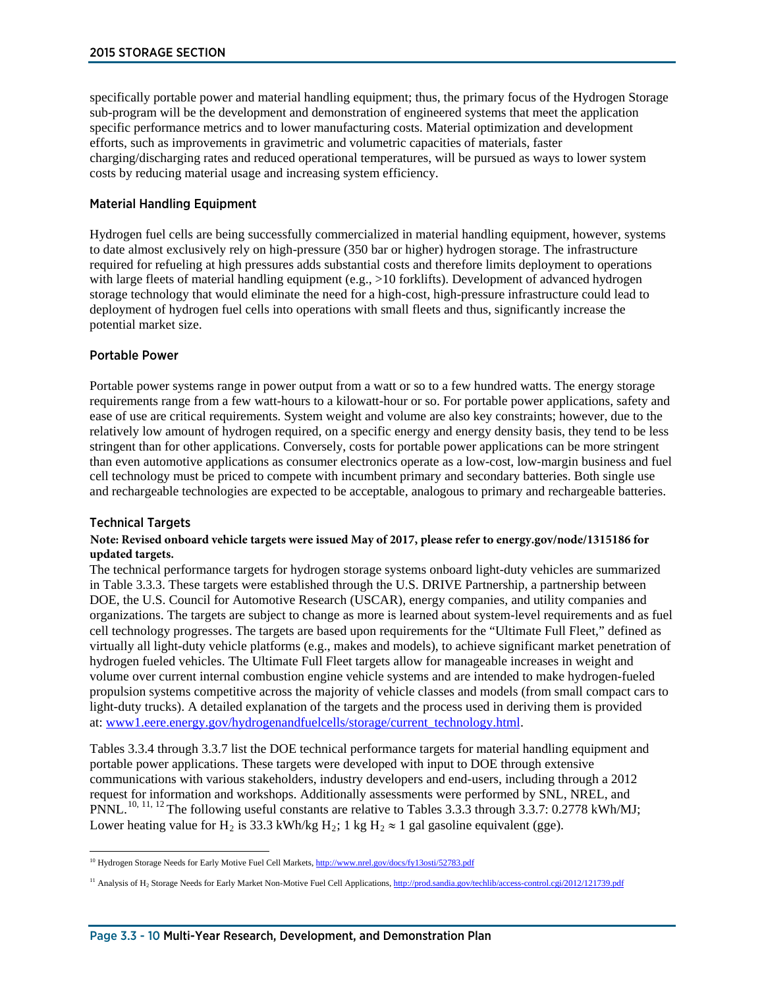specifically portable power and material handling equipment; thus, the primary focus of the Hydrogen Storage sub-program will be the development and demonstration of engineered systems that meet the application specific performance metrics and to lower manufacturing costs. Material optimization and development efforts, such as improvements in gravimetric and volumetric capacities of materials, faster charging/discharging rates and reduced operational temperatures, will be pursued as ways to lower system costs by reducing material usage and increasing system efficiency.

# Material Handling Equipment

Hydrogen fuel cells are being successfully commercialized in material handling equipment, however, systems to date almost exclusively rely on high-pressure (350 bar or higher) hydrogen storage. The infrastructure required for refueling at high pressures adds substantial costs and therefore limits deployment to operations with large fleets of material handling equipment (e.g., >10 forklifts). Development of advanced hydrogen storage technology that would eliminate the need for a high-cost, high-pressure infrastructure could lead to deployment of hydrogen fuel cells into operations with small fleets and thus, significantly increase the potential market size.

### Portable Power

Portable power systems range in power output from a watt or so to a few hundred watts. The energy storage requirements range from a few watt-hours to a kilowatt-hour or so. For portable power applications, safety and ease of use are critical requirements. System weight and volume are also key constraints; however, due to the relatively low amount of hydrogen required, on a specific energy and energy density basis, they tend to be less stringent than for other applications. Conversely, costs for portable power applications can be more stringent than even automotive applications as consumer electronics operate as a low-cost, low-margin business and fuel cell technology must be priced to compete with incumbent primary and secondary batteries. Both single use and rechargeable technologies are expected to be acceptable, analogous to primary and rechargeable batteries.

# Technical Targets

### **Note: Revised onboard vehicle targets were issued May of 2017, please refer to [energy.gov/node/1315186 f](https://energy.gov/eere/fuelcells/doe-technical-targets-onboard-hydrogen-storage-light-duty-vehicles)or updated targets.**

The technical performance targets for hydrogen storage systems onboard light-duty vehicles are summarized in Table 3.3.3. These targets were established through the U.S. DRIVE Partnership, a partnership between DOE, the U.S. Council for Automotive Research (USCAR), energy companies, and utility companies and organizations. The targets are subject to change as more is learned about system-level requirements and as fuel cell technology progresses. The targets are based upon requirements for the "Ultimate Full Fleet," defined as virtually all light-duty vehicle platforms (e.g., makes and models), to achieve significant market penetration of hydrogen fueled vehicles. The Ultimate Full Fleet targets allow for manageable increases in weight and volume over current internal combustion engine vehicle systems and are intended to make hydrogen-fueled propulsion systems competitive across the majority of vehicle classes and models (from small compact cars to light-duty trucks). A detailed explanation of the targets and the process used in deriving them is provided at: [www1.eere.energy.gov/hydrogenandfuelcells/storage/current\\_technology.html.](http://www1.eere.energy.gov/hydrogenandfuelcells/storage/current_technology.html)

Tables 3.3.4 through 3.3.7 list the DOE technical performance targets for material handling equipment and portable power applications. These targets were developed with input to DOE through extensive communications with various stakeholders, industry developers and end-users, including through a 2012 request [fo](#page-9-0)[r i](#page-9-1)[nfo](#page-9-2)rmation and workshops. Additionally assessments were performed by SNL, NREL, and PNNL.<sup>10, 11, 12</sup> The following useful constants are relative to Tables 3.3.3 through 3.3.7: 0.2778 kWh/MJ; Lower heating value for H<sub>2</sub> is 33.3 kWh/kg H<sub>2</sub>; 1 kg H<sub>2</sub>  $\approx$  1 gal gasoline equivalent (gge).

<span id="page-9-0"></span><sup>&</sup>lt;sup>10</sup> Hydrogen Storage Needs for Early Motive Fuel Cell Markets, http://www.nrel.gov/docs/fy13osti/52783.pdf

<span id="page-9-2"></span><span id="page-9-1"></span><sup>&</sup>lt;sup>11</sup> Analysis of H<sub>2</sub> Storage Needs for Early Market Non-Motive Fuel Cell Applications, http://prod.sandia.gov/techlib/access-control.cgi/2012/121739.pdf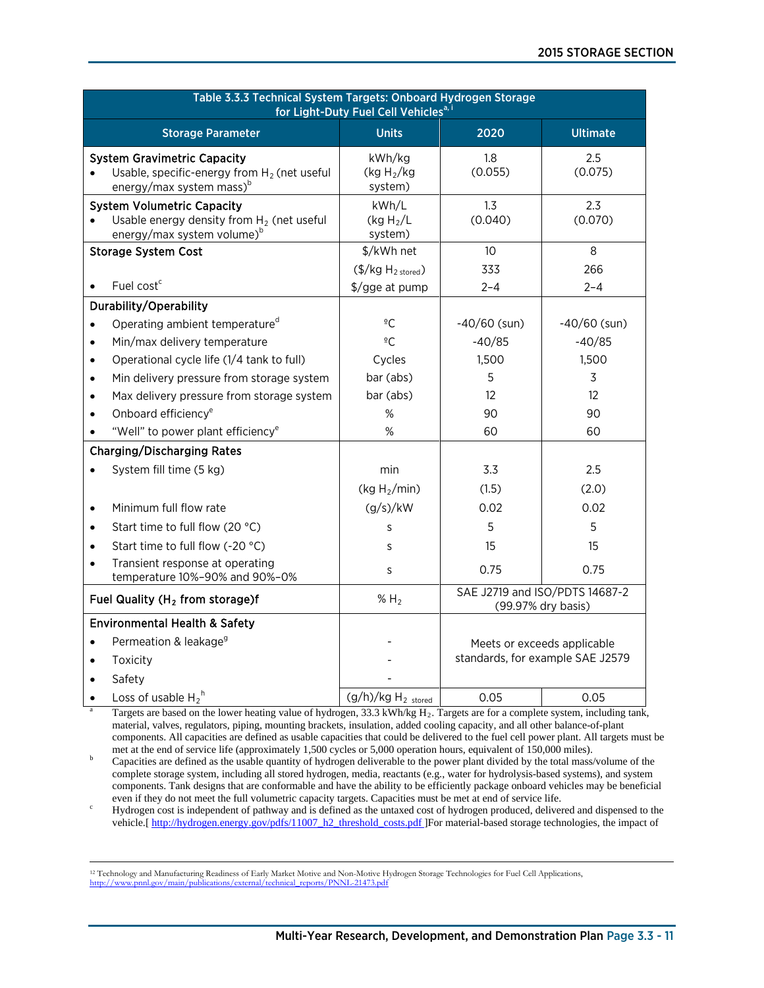| Table 3.3.3 Technical System Targets: Onboard Hydrogen Storage<br>for Light-Duty Fuel Cell Vehicles <sup>a, i</sup>          |                                                       |                                                      |                                  |  |
|------------------------------------------------------------------------------------------------------------------------------|-------------------------------------------------------|------------------------------------------------------|----------------------------------|--|
| <b>Storage Parameter</b>                                                                                                     | <b>Units</b>                                          | 2020                                                 | <b>Ultimate</b>                  |  |
| <b>System Gravimetric Capacity</b><br>Usable, specific-energy from $H_2$ (net useful<br>energy/max system mass) <sup>b</sup> | kWh/kg<br>(kg H <sub>2</sub> /kg)<br>system)          | 1.8<br>(0.055)                                       | 2.5<br>(0.075)                   |  |
| <b>System Volumetric Capacity</b><br>Usable energy density from $H_2$ (net useful<br>energy/max system volume) <sup>b</sup>  | kWh/L<br>(kg $H_2/L$<br>system)                       | 1.3<br>(0.040)                                       | 2.3<br>(0.070)                   |  |
| <b>Storage System Cost</b>                                                                                                   | \$/kWh net                                            | 10                                                   | 8                                |  |
| Fuel cost <sup>c</sup>                                                                                                       | $(\frac{5}{kg}H_{2\text{ stored}})$<br>\$/gge at pump | 333<br>$2 - 4$                                       | 266<br>$2 - 4$                   |  |
| Durability/Operability                                                                                                       |                                                       |                                                      |                                  |  |
| Operating ambient temperature <sup>d</sup><br>$\bullet$                                                                      | $\overline{\circ}C$                                   | $-40/60$ (sun)                                       | $-40/60$ (sun)                   |  |
| Min/max delivery temperature                                                                                                 | $\frac{6}{5}C$                                        | $-40/85$                                             | $-40/85$                         |  |
| Operational cycle life (1/4 tank to full)<br>$\bullet$                                                                       | Cycles                                                | 1,500                                                | 1,500                            |  |
| Min delivery pressure from storage system                                                                                    | bar (abs)                                             | 5                                                    | 3                                |  |
| Max delivery pressure from storage system                                                                                    | bar (abs)                                             | 12                                                   | 12                               |  |
| Onboard efficiency <sup>e</sup>                                                                                              | %                                                     | 90                                                   | 90                               |  |
| "Well" to power plant efficiency <sup>e</sup>                                                                                | %                                                     | 60                                                   | 60                               |  |
| <b>Charging/Discharging Rates</b>                                                                                            |                                                       |                                                      |                                  |  |
| System fill time (5 kg)                                                                                                      | min                                                   | 3.3                                                  | 2.5                              |  |
|                                                                                                                              | (kg $H_2$ /min)                                       | (1.5)                                                | (2.0)                            |  |
| Minimum full flow rate                                                                                                       | (g/s)/kW                                              | 0.02                                                 | 0.02                             |  |
| Start time to full flow (20 °C)                                                                                              | S                                                     | 5                                                    | 5                                |  |
| Start time to full flow (-20 °C)                                                                                             | S                                                     | 15                                                   | 15                               |  |
| Transient response at operating<br>$\bullet$<br>temperature 10%-90% and 90%-0%                                               | S                                                     | 0.75                                                 | 0.75                             |  |
| Fuel Quality ( $H_2$ from storage)f                                                                                          | % H <sub>2</sub>                                      | SAE J2719 and ISO/PDTS 14687-2<br>(99.97% dry basis) |                                  |  |
| <b>Environmental Health &amp; Safety</b>                                                                                     |                                                       |                                                      |                                  |  |
| Permeation & leakage <sup>9</sup>                                                                                            |                                                       |                                                      | Meets or exceeds applicable      |  |
| Toxicity                                                                                                                     |                                                       |                                                      | standards, for example SAE J2579 |  |
| Safety                                                                                                                       |                                                       |                                                      |                                  |  |
| Loss of usable $H_2^h$                                                                                                       | $(g/h)/kg H2$ stored                                  | 0.05                                                 | 0.05                             |  |

Targets are based on the lower heating value of hydrogen, 33.3 kWh/kg H<sub>2</sub>. Targets are for a complete system, including tank, material, valves, regulators, piping, mounting brackets, insulation, added cooling capacity, and all other balance-of-plant components. All capacities are defined as usable capacities that could be delivered to the fuel cell power plant. All targets must be met at the end of service life (approximately 1,500 cycles or 5,000 operation hours, equ

Capacities are defined as the usable quantity of hydrogen deliverable to the power plant divided by the total mass/volume of the complete storage system, including all stored hydrogen, media, reactants (e.g., water for hydrolysis-based systems), and system components. Tank designs that are conformable and have the ability to be efficiently package onboard vehicles may be beneficial

Hydrogen cost is independent of pathway and is defined as the untaxed cost of hydrogen produced, delivered and dispensed to the vehicle.[\[ http://hydrogen.energy.gov/pdfs/11007\\_h2\\_threshold\\_costs.pdf](http://hydrogen.energy.gov/pdfs/11007_h2_threshold_costs.pdf) ]For material-based storage technologies, the impact of

 <sup>12</sup> Technology and Manufacturing Readiness of Early Market Motive and Non-Motive Hydrogen Storage Technologies for Fuel Cell Applications, tions/external/technical\_reports/PNNL-21473.pdf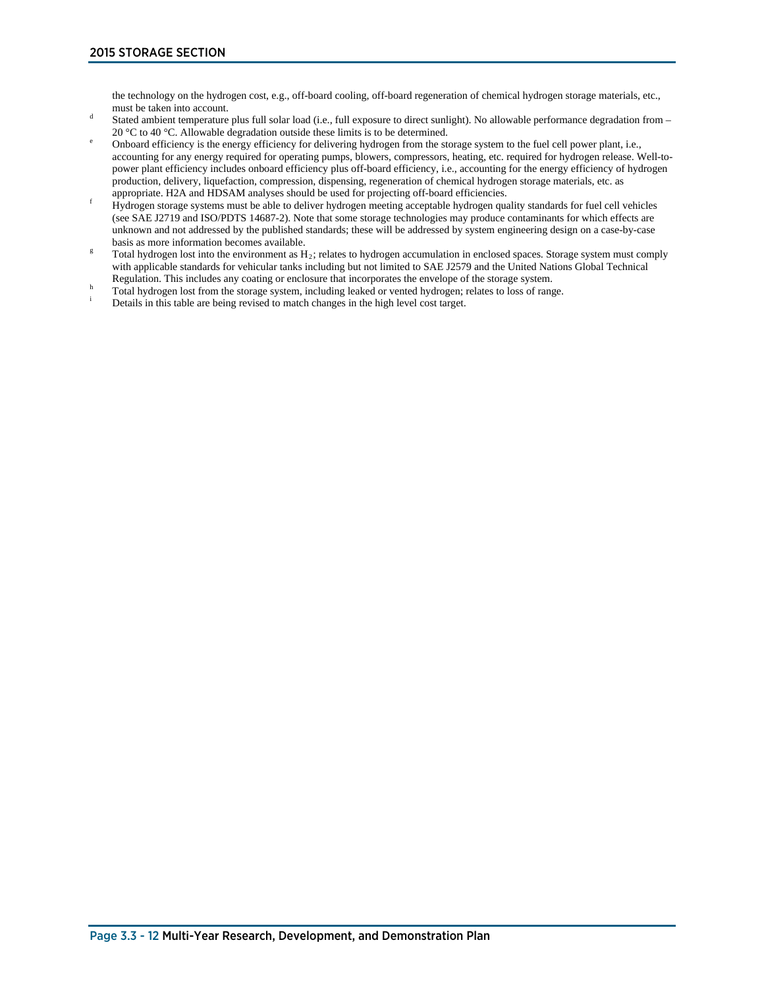the technology on the hydrogen cost, e.g., off-board cooling, off-board regeneration of chemical hydrogen storage materials, etc.,

- must be taken into account.<br>Stated ambient temperature plus full solar load (i.e., full exposure to direct sunlight). No allowable performance degradation from –<br>20 °C to 40 °C. Allowable degradation outside these limits i
- Onboard efficiency is the energy efficiency for delivering hydrogen from the storage system to the fuel cell power plant, i.e., accounting for any energy required for operating pumps, blowers, compressors, heating, etc. required for hydrogen release. Well-topower plant efficiency includes onboard efficiency plus off-board efficiency, i.e., accounting for the energy efficiency of hydrogen production, delivery, liquefaction, compression, dispensing, regeneration of chemical hydrogen storage materials, etc. as appropriate. H2A and HDSAM analyses should be used for projecting off-board efficiencies.
- From Haran and HDSAM analyses should be used to projecting of board effectivencies.<br>Hydrogen storage systems must be able to deliver hydrogen meeting acceptable hydrogen quality standards for fuel cell vehicles (see SAE J2719 and ISO/PDTS 14687-2). Note that some storage technologies may produce contaminants for which effects are unknown and not addressed by the published standards; these will be addressed by system engineering design on a case-by-case
- basis as more information becomes available.<br>Total hydrogen lost into the environment as  $H_2$ ; relates to hydrogen accumulation in enclosed spaces. Storage system must comply with applicable standards for vehicular tanks including but not limited to SAE J2579 and the United Nations Global Technical Regulation. This includes any coating or enclosure that incorporates the envelope of the storage
- Total hydrogen lost from the storage system, including leaked or vented hydrogen; relates to loss of range.<br>Details in this table are being revised to match changes in the high level cost target.
-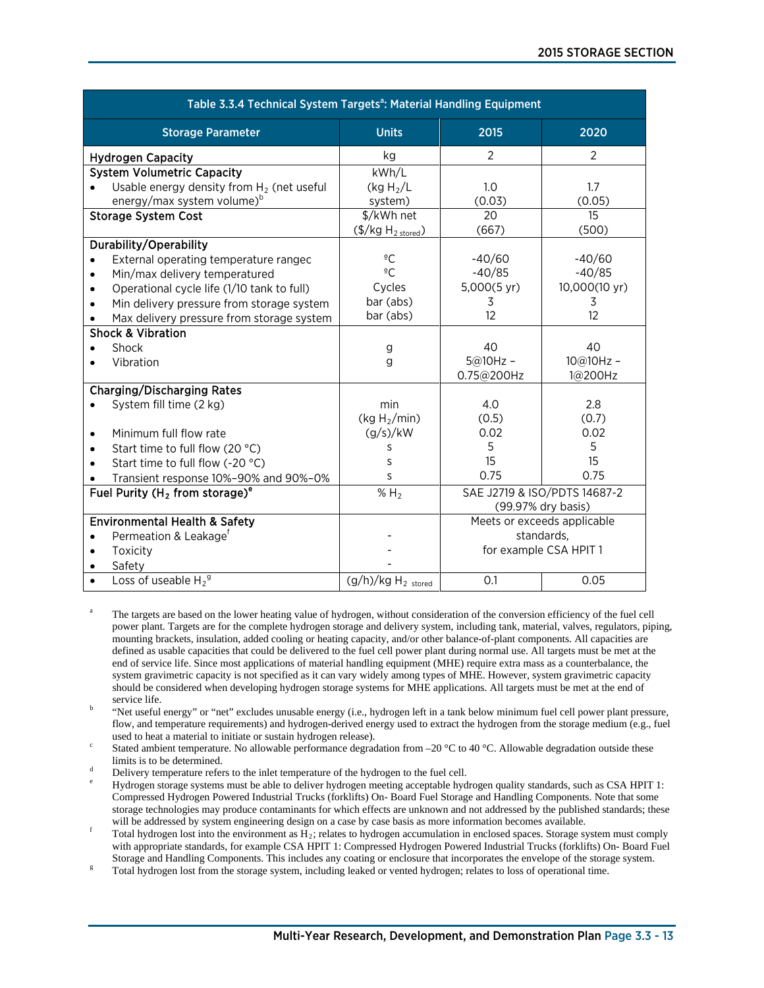| Table 3.3.4 Technical System Targets <sup>a</sup> : Material Handling Equipment |                                     |                             |                              |  |
|---------------------------------------------------------------------------------|-------------------------------------|-----------------------------|------------------------------|--|
| <b>Storage Parameter</b>                                                        | <b>Units</b>                        | 2015                        | 2020                         |  |
| <b>Hydrogen Capacity</b>                                                        | kg                                  | 2                           | 2                            |  |
| <b>System Volumetric Capacity</b>                                               | kWh/L                               |                             |                              |  |
| Usable energy density from $H_2$ (net useful<br>$\bullet$                       | (kg H <sub>2</sub> /L)              | 1.0                         | 1.7                          |  |
| energy/max system volume) <sup>b</sup>                                          | system)                             | (0.03)                      | (0.05)                       |  |
| <b>Storage System Cost</b>                                                      | \$/kWh net                          | 20                          | 15                           |  |
|                                                                                 | $(\frac{5}{kg}H_{2\text{ stored}})$ | (667)                       | (500)                        |  |
| Durability/Operability                                                          |                                     |                             |                              |  |
| External operating temperature rangec                                           | $^{\circ}$ C                        | $-40/60$                    | $-40/60$                     |  |
| Min/max delivery temperatured<br>$\bullet$                                      | $\overline{C}$                      | $-40/85$                    | $-40/85$                     |  |
| Operational cycle life (1/10 tank to full)<br>$\bullet$                         | Cycles                              | 5,000(5 yr)                 | 10,000(10 yr)                |  |
| Min delivery pressure from storage system                                       | bar (abs)                           | 3                           | 3                            |  |
| Max delivery pressure from storage system                                       | bar (abs)                           | 12                          | 12                           |  |
| <b>Shock &amp; Vibration</b>                                                    |                                     |                             |                              |  |
| Shock                                                                           | g                                   | 40                          | 40                           |  |
| Vibration                                                                       | g                                   | $5@10Hz -$                  | $10@10Hz -$                  |  |
|                                                                                 |                                     | 0.75@200Hz                  | 1@200Hz                      |  |
| <b>Charging/Discharging Rates</b>                                               |                                     |                             |                              |  |
| System fill time (2 kg)                                                         | min                                 | 4.0                         | 2.8                          |  |
|                                                                                 | (kg $H_2$ /min)                     | (0.5)                       | (0.7)                        |  |
| Minimum full flow rate<br>٠                                                     | (g/s)/kW                            | 0.02                        | 0.02                         |  |
| Start time to full flow (20 °C)                                                 | S                                   | 5                           | 5                            |  |
| Start time to full flow (-20 °C)                                                | S                                   | 15                          | 15                           |  |
| Transient response 10%-90% and 90%-0%                                           | S                                   | 0.75                        | 0.75                         |  |
| Fuel Purity ( $H_2$ from storage) <sup>e</sup>                                  | $\overline{\%}$ H <sub>2</sub>      |                             | SAE J2719 & ISO/PDTS 14687-2 |  |
|                                                                                 |                                     |                             | (99.97% dry basis)           |  |
| <b>Environmental Health &amp; Safety</b>                                        |                                     | Meets or exceeds applicable |                              |  |
| Permeation & Leakage <sup>f</sup><br>$\bullet$                                  |                                     | standards.                  |                              |  |
| Toxicity<br>$\bullet$                                                           |                                     | for example CSA HPIT 1      |                              |  |
| Safety                                                                          |                                     |                             |                              |  |
| Loss of useable $H_2^9$                                                         | $(g/h)/kg H2$ stored                | 0.1                         | 0.05                         |  |

- The targets are based on the lower heating value of hydrogen, without consideration of the conversion efficiency of the fuel cell power plant. Targets are for the complete hydrogen storage and delivery system, including tank, material, valves, regulators, piping, mounting brackets, insulation, added cooling or heating capacity, and/or other balance-of-plant components. All capacities are defined as usable capacities that could be delivered to the fuel cell power plant during normal use. All targets must be met at the end of service life. Since most applications of material handling equipment (MHE) require extra mass as a counterbalance, the system gravimetric capacity is not specified as it can vary widely among types of MHE. However, system gravimetric capacity should be considered when developing hydrogen storage systems for MHE applications. All targets must be met at the end of
- "Net useful energy" or "net" excludes unusable energy (i.e., hydrogen left in a tank below minimum fuel cell power plant pressure, flow, and temperature requirements) and hydrogen-derived energy used to extract the hydrogen from the storage medium (e.g., fuel
- used to heat a material to initiate or sustain hydrogen release).<br>Stated ambient temperature. No allowable performance degradation from –20 °C to 40 °C. Allowable degradation outside these<br>limits is to be determined.
- 
- Delivery temperature refers to the inlet temperature of the hydrogen to the fuel cell.<br>Hydrogen storage systems must be able to deliver hydrogen meeting acceptable hydrogen quality standards, such as CSA HPIT 1: Compressed Hydrogen Powered Industrial Trucks (forklifts) On- Board Fuel Storage and Handling Components. Note that some storage technologies may produce contaminants for which effects are unknown and not addressed by the published standards; these will be addressed by system engineering design on a case by case basis as more information bec
- Total hydrogen lost into the environment as  $H_2$ ; relates to hydrogen accumulation in enclosed spaces. Storage system must comply with appropriate standards, for example CSA HPIT 1: Compressed Hydrogen Powered Industrial Trucks (forklifts) On- Board Fuel Storage and Handling Components. This includes any coating or enclosure that incorporates the envelope of the storage system.<br>Total hydrogen lost from the storage system, including leaked or vented hydrogen; relates to los
-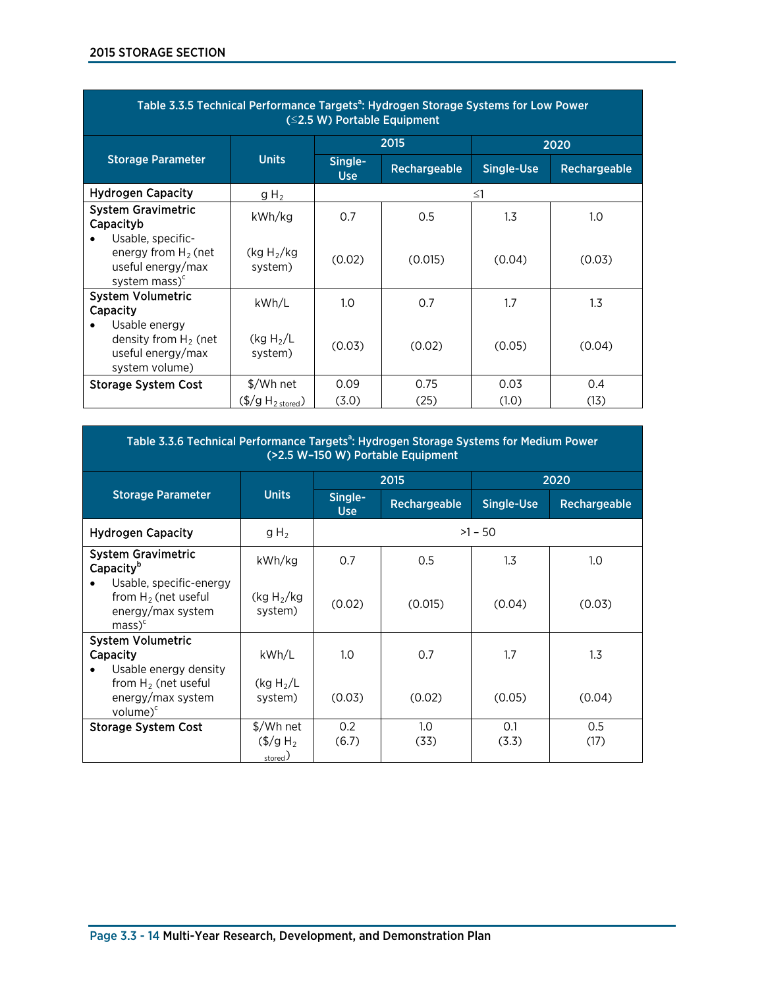| Table 3.3.5 Technical Performance Targets <sup>a</sup> : Hydrogen Storage Systems for Low Power<br>$(S2.5 W)$ Portable Equipment |                                       |                       |              |                   |              |
|----------------------------------------------------------------------------------------------------------------------------------|---------------------------------------|-----------------------|--------------|-------------------|--------------|
|                                                                                                                                  |                                       |                       | 2015         |                   | 2020         |
| <b>Storage Parameter</b>                                                                                                         | <b>Units</b>                          | Single-<br><b>Use</b> | Rechargeable | <b>Single-Use</b> | Rechargeable |
| <b>Hydrogen Capacity</b>                                                                                                         | $gH_2$                                |                       |              | $\leq$ 1          |              |
| <b>System Gravimetric</b><br>Capacityb                                                                                           | kWh/kg                                | 0.7                   | 0.5          | 1.3               | 1.0          |
| Usable, specific-<br>energy from $H_2$ (net<br>useful energy/max<br>system mass) <sup>c</sup>                                    | (kg H <sub>2</sub> /kg)<br>system)    | (0.02)                | (0.015)      | (0.04)            | (0.03)       |
| <b>System Volumetric</b><br>Capacity                                                                                             | kWh/L                                 | 1.0                   | 0.7          | 1.7               | 1.3          |
| Usable energy<br>density from $H_2$ (net<br>useful energy/max<br>system volume)                                                  | (kg H <sub>2</sub> /L)<br>system)     | (0.03)                | (0.02)       | (0.05)            | (0.04)       |
| <b>Storage System Cost</b>                                                                                                       | \$/Wh net                             | 0.09                  | 0.75         | 0.03              | 0.4          |
|                                                                                                                                  | $(\frac{4}{9}$ H <sub>2</sub> stored) | (3.0)                 | (25)         | (1.0)             | (13)         |

| Table 3.3.6 Technical Performance Targets <sup>a</sup> : Hydrogen Storage Systems for Medium Power<br>(>2.5 W-150 W) Portable Equipment |                                                       |                |              |                   |              |
|-----------------------------------------------------------------------------------------------------------------------------------------|-------------------------------------------------------|----------------|--------------|-------------------|--------------|
|                                                                                                                                         |                                                       | 2015           |              | 2020              |              |
| <b>Storage Parameter</b>                                                                                                                | <b>Units</b>                                          | Single-<br>Use | Rechargeable | <b>Single-Use</b> | Rechargeable |
| <b>Hydrogen Capacity</b>                                                                                                                | $gH_2$                                                |                |              | $>1 - 50$         |              |
| <b>System Gravimetric</b><br>Capacity <sup>b</sup>                                                                                      | kWh/kg                                                | 0.7            | 0.5          | 1.3               | 1.0          |
| Usable, specific-energy<br>from $H_2$ (net useful<br>energy/max system<br>$mass)^c$                                                     | (kg $H_2$ /kg<br>system)                              | (0.02)         | (0.015)      | (0.04)            | (0.03)       |
| <b>System Volumetric</b><br>Capacity<br>Usable energy density                                                                           | kWh/L                                                 | 1.0            | 0.7          | 1.7               | 1.3          |
| from $H_2$ (net useful<br>energy/max system<br>volume $)^c$                                                                             | (kg H <sub>2</sub> /L)<br>system)                     | (0.03)         | (0.02)       | (0.05)            | (0.04)       |
| <b>Storage System Cost</b>                                                                                                              | \$/Wh net<br>$(\frac{6}{9} \text{ H}_{2})$<br>stored) | 0.2<br>(6.7)   | 1.0<br>(33)  | 0.1<br>(3.3)      | 0.5<br>(17)  |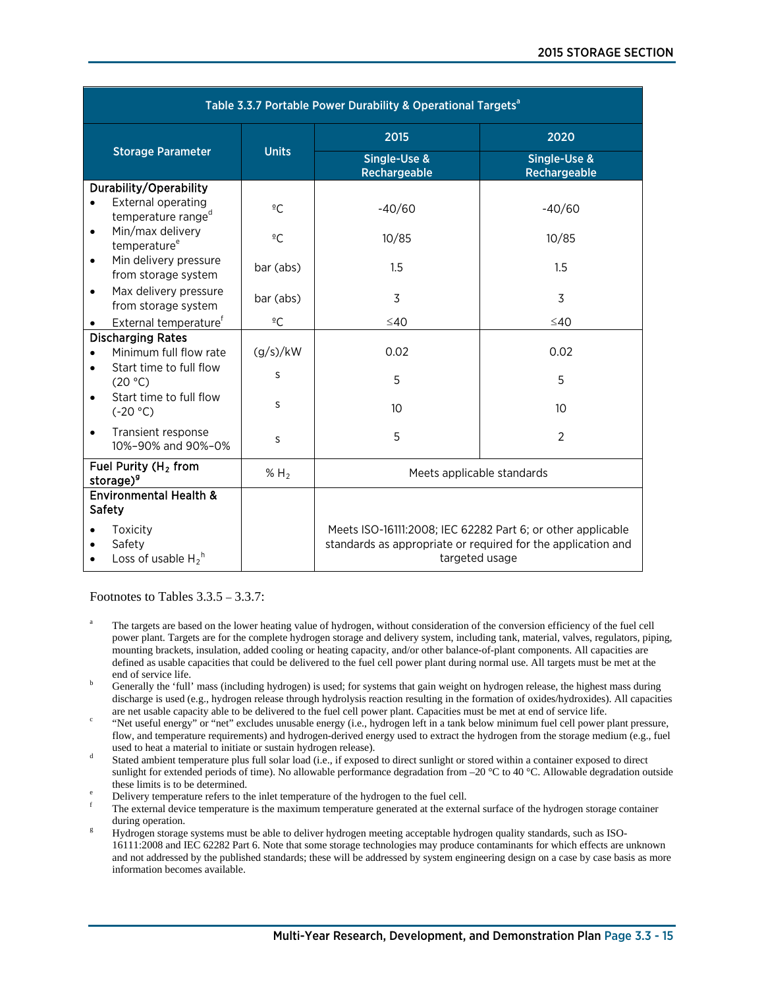| Table 3.3.7 Portable Power Durability & Operational Targets <sup>a</sup> |                  |                                                                                                                                               |                              |  |  |
|--------------------------------------------------------------------------|------------------|-----------------------------------------------------------------------------------------------------------------------------------------------|------------------------------|--|--|
|                                                                          |                  | 2015                                                                                                                                          | 2020                         |  |  |
| <b>Storage Parameter</b>                                                 | <b>Units</b>     | Single-Use &<br>Rechargeable                                                                                                                  | Single-Use &<br>Rechargeable |  |  |
| Durability/Operability                                                   |                  |                                                                                                                                               |                              |  |  |
| External operating<br>$\bullet$<br>temperature range <sup>d</sup>        | $\overline{C}$   | $-40/60$                                                                                                                                      | $-40/60$                     |  |  |
| Min/max delivery<br>$\bullet$<br>temperature <sup>e</sup>                | $\overline{C}$   | 10/85                                                                                                                                         | 10/85                        |  |  |
| Min delivery pressure<br>٠<br>from storage system                        | bar (abs)        | 1.5                                                                                                                                           | 1.5                          |  |  |
| Max delivery pressure<br>$\bullet$<br>from storage system                | bar (abs)        | $\overline{3}$                                                                                                                                | 3                            |  |  |
| External temperature <sup>f</sup><br>$\bullet$                           | $\overline{C}$   | $\leq 40$                                                                                                                                     | $\leq 40$                    |  |  |
| <b>Discharging Rates</b>                                                 |                  |                                                                                                                                               |                              |  |  |
| Minimum full flow rate                                                   | (g/s)/kW         | 0.02                                                                                                                                          | 0.02                         |  |  |
| Start time to full flow<br>(20 °C)                                       | S                | 5                                                                                                                                             | 5                            |  |  |
| Start time to full flow<br>٠<br>$(-20 °C)$                               | S                | 10                                                                                                                                            | 10 <sup>10</sup>             |  |  |
| Transient response<br>$\bullet$<br>10%-90% and 90%-0%                    | S                | 5                                                                                                                                             | $\overline{2}$               |  |  |
| Fuel Purity (H <sub>2</sub> from<br>storage) <sup>9</sup>                | % H <sub>2</sub> | Meets applicable standards                                                                                                                    |                              |  |  |
| <b>Environmental Health &amp;</b><br><b>Safety</b>                       |                  |                                                                                                                                               |                              |  |  |
| Toxicity<br>Safety<br>Loss of usable $H_2^h$                             |                  | Meets ISO-16111:2008; IEC 62282 Part 6; or other applicable<br>standards as appropriate or required for the application and<br>targeted usage |                              |  |  |

Footnotes to Tables 3.3.5 – 3.3.7:

- The targets are based on the lower heating value of hydrogen, without consideration of the conversion efficiency of the fuel cell power plant. Targets are for the complete hydrogen storage and delivery system, including tank, material, valves, regulators, piping, mounting brackets, insulation, added cooling or heating capacity, and/or other balance-of-plant components. All capacities are defined as usable capacities that could be delivered to the fuel cell power plant during normal use. All targets must be met at the end of service life.<br>Generally the 'full' mass (including hydrogen) is used; for systems that gain weight on hydrogen release, the highest mass during
- discharge is used (e.g., hydrogen release through hydrolysis reaction resulting in the formation of oxides/hydroxides). All capacities are net usable capacity able to be delivered to the fuel cell power plant. Capacities must be met at end of service life.
- "Net useful energy" or "net" excludes unusable energy (i.e., hydrogen left in a tank below minimum fuel cell power plant pressure, flow, and temperature requirements) and hydrogen-derived energy used to extract the hydrogen from the storage medium (e.g., fuel used to heat a material to initiate or sustain hydrogen release).
- Stated ambient temperature plus full solar load (i.e., if exposed to direct sunlight or stored within a container exposed to direct sunlight for extended periods of time). No allowable performance degradation from –20 °C to 40 °C. Allowable degradation outside
- 
- these limits is to be determined.<br>Delivery temperature refers to the inlet temperature of the hydrogen to the fuel cell.<br>The external device temperature is the maximum temperature generated at the external surface of the h during operation.<br><sup>g</sup> Hydrogen storage systems must be able to deliver hydrogen meeting acceptable hydrogen quality standards, such as ISO-
- 16111:2008 and IEC 62282 Part 6. Note that some storage technologies may produce contaminants for which effects are unknown and not addressed by the published standards; these will be addressed by system engineering design on a case by case basis as more information becomes available.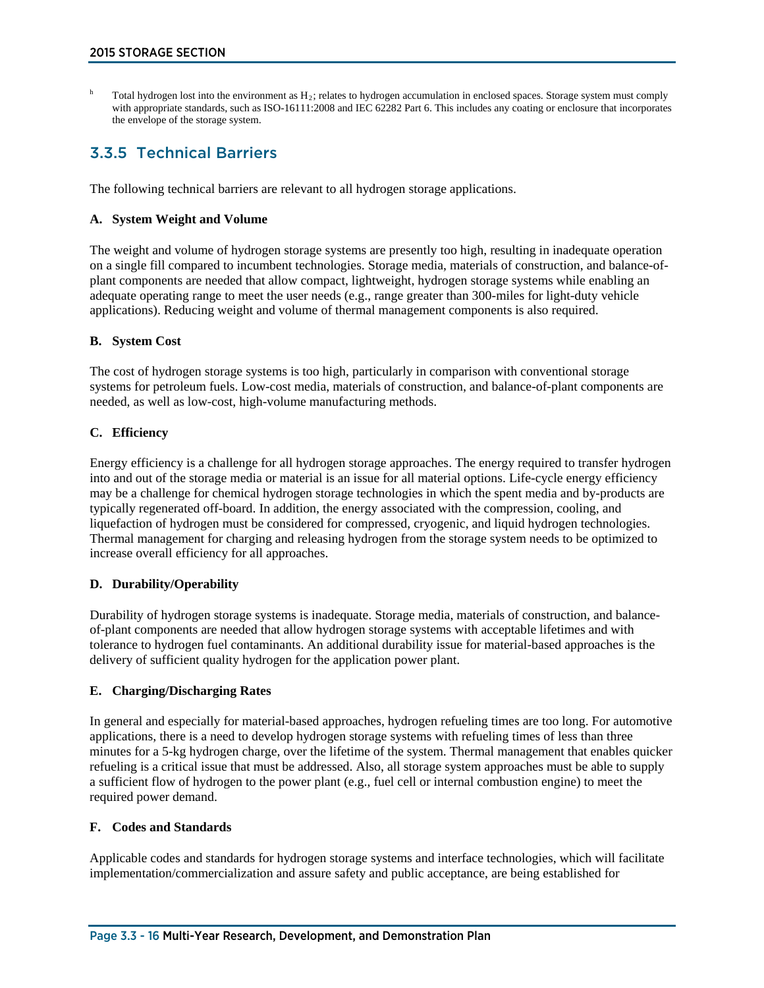Total hydrogen lost into the environment as  $H_2$ ; relates to hydrogen accumulation in enclosed spaces. Storage system must comply with appropriate standards, such as ISO-16111:2008 and IEC 62282 Part 6. This includes any coating or enclosure that incorporates the envelope of the storage system.

# 3.3.5 Technical Barriers

The following technical barriers are relevant to all hydrogen storage applications.

## **A. System Weight and Volume**

The weight and volume of hydrogen storage systems are presently too high, resulting in inadequate operation on a single fill compared to incumbent technologies. Storage media, materials of construction, and balance-ofplant components are needed that allow compact, lightweight, hydrogen storage systems while enabling an adequate operating range to meet the user needs (e.g., range greater than 300-miles for light-duty vehicle applications). Reducing weight and volume of thermal management components is also required.

# **B. System Cost**

The cost of hydrogen storage systems is too high, particularly in comparison with conventional storage systems for petroleum fuels. Low-cost media, materials of construction, and balance-of-plant components are needed, as well as low-cost, high-volume manufacturing methods.

### **C. Efficiency**

Energy efficiency is a challenge for all hydrogen storage approaches. The energy required to transfer hydrogen into and out of the storage media or material is an issue for all material options. Life-cycle energy efficiency may be a challenge for chemical hydrogen storage technologies in which the spent media and by-products are typically regenerated off-board. In addition, the energy associated with the compression, cooling, and liquefaction of hydrogen must be considered for compressed, cryogenic, and liquid hydrogen technologies. Thermal management for charging and releasing hydrogen from the storage system needs to be optimized to increase overall efficiency for all approaches.

# **D. Durability/Operability**

Durability of hydrogen storage systems is inadequate. Storage media, materials of construction, and balanceof-plant components are needed that allow hydrogen storage systems with acceptable lifetimes and with tolerance to hydrogen fuel contaminants. An additional durability issue for material-based approaches is the delivery of sufficient quality hydrogen for the application power plant.

# **E. Charging/Discharging Rates**

In general and especially for material-based approaches, hydrogen refueling times are too long. For automotive applications, there is a need to develop hydrogen storage systems with refueling times of less than three minutes for a 5-kg hydrogen charge, over the lifetime of the system. Thermal management that enables quicker refueling is a critical issue that must be addressed. Also, all storage system approaches must be able to supply a sufficient flow of hydrogen to the power plant (e.g., fuel cell or internal combustion engine) to meet the required power demand.

#### **F. Codes and Standards**

Applicable codes and standards for hydrogen storage systems and interface technologies, which will facilitate implementation/commercialization and assure safety and public acceptance, are being established for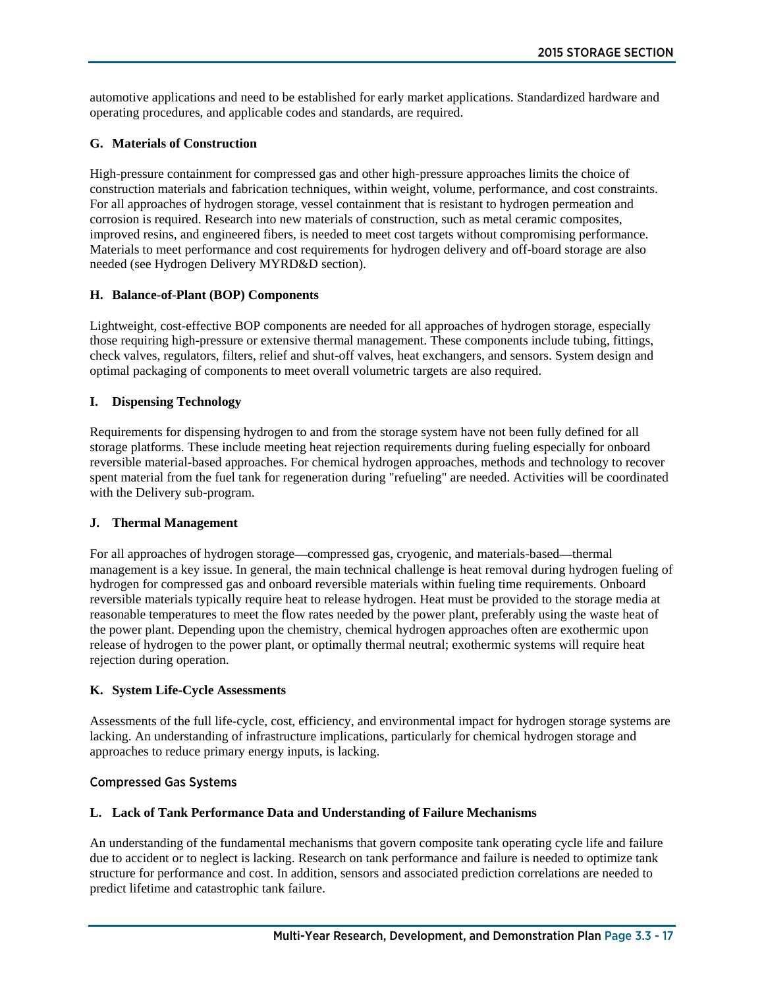automotive applications and need to be established for early market applications. Standardized hardware and operating procedures, and applicable codes and standards, are required.

# **G. Materials of Construction**

High-pressure containment for compressed gas and other high-pressure approaches limits the choice of construction materials and fabrication techniques, within weight, volume, performance, and cost constraints. For all approaches of hydrogen storage, vessel containment that is resistant to hydrogen permeation and corrosion is required. Research into new materials of construction, such as metal ceramic composites, improved resins, and engineered fibers, is needed to meet cost targets without compromising performance. Materials to meet performance and cost requirements for hydrogen delivery and off-board storage are also needed (see Hydrogen Delivery MYRD&D section).

# **H. Balance-of-Plant (BOP) Components**

Lightweight, cost-effective BOP components are needed for all approaches of hydrogen storage, especially those requiring high-pressure or extensive thermal management. These components include tubing, fittings, check valves, regulators, filters, relief and shut-off valves, heat exchangers, and sensors. System design and optimal packaging of components to meet overall volumetric targets are also required.

# **I. Dispensing Technology**

Requirements for dispensing hydrogen to and from the storage system have not been fully defined for all storage platforms. These include meeting heat rejection requirements during fueling especially for onboard reversible material-based approaches. For chemical hydrogen approaches, methods and technology to recover spent material from the fuel tank for regeneration during "refueling" are needed. Activities will be coordinated with the Delivery sub-program.

#### **J. Thermal Management**

For all approaches of hydrogen storage—compressed gas, cryogenic, and materials-based—thermal management is a key issue. In general, the main technical challenge is heat removal during hydrogen fueling of hydrogen for compressed gas and onboard reversible materials within fueling time requirements. Onboard reversible materials typically require heat to release hydrogen. Heat must be provided to the storage media at reasonable temperatures to meet the flow rates needed by the power plant, preferably using the waste heat of the power plant. Depending upon the chemistry, chemical hydrogen approaches often are exothermic upon release of hydrogen to the power plant, or optimally thermal neutral; exothermic systems will require heat rejection during operation.

# **K. System Life-Cycle Assessments**

Assessments of the full life-cycle, cost, efficiency, and environmental impact for hydrogen storage systems are lacking. An understanding of infrastructure implications, particularly for chemical hydrogen storage and approaches to reduce primary energy inputs, is lacking.

### Compressed Gas Systems

# **L. Lack of Tank Performance Data and Understanding of Failure Mechanisms**

An understanding of the fundamental mechanisms that govern composite tank operating cycle life and failure due to accident or to neglect is lacking. Research on tank performance and failure is needed to optimize tank structure for performance and cost. In addition, sensors and associated prediction correlations are needed to predict lifetime and catastrophic tank failure.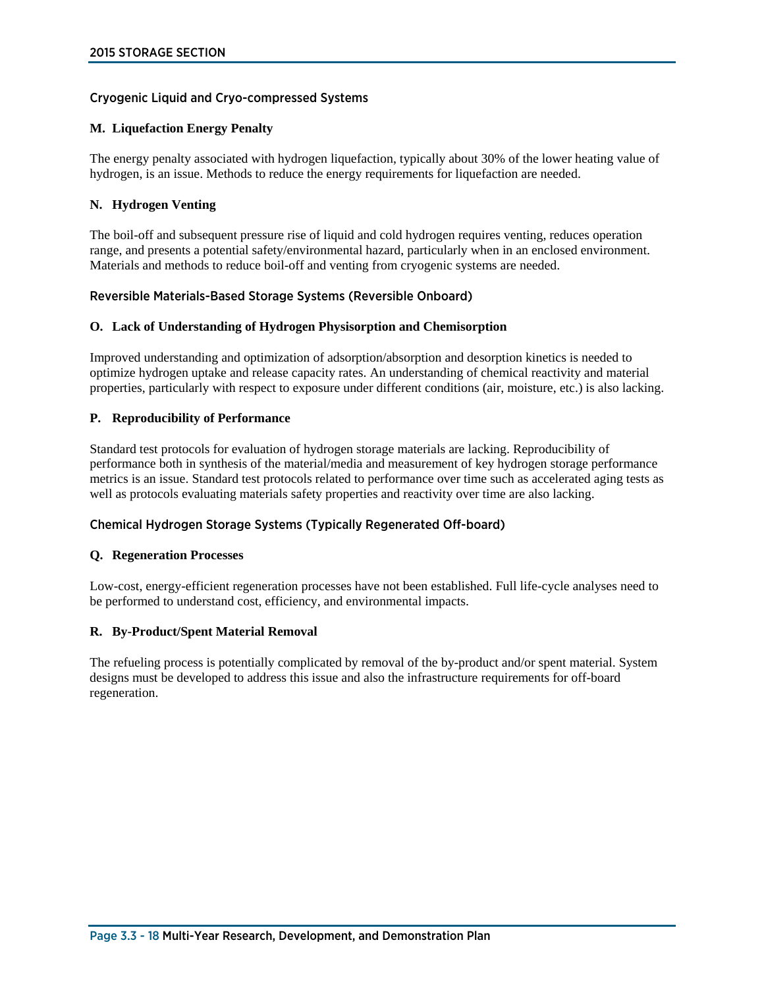### Cryogenic Liquid and Cryo-compressed Systems

#### **M. Liquefaction Energy Penalty**

The energy penalty associated with hydrogen liquefaction, typically about 30% of the lower heating value of hydrogen, is an issue. Methods to reduce the energy requirements for liquefaction are needed.

#### **N. Hydrogen Venting**

The boil-off and subsequent pressure rise of liquid and cold hydrogen requires venting, reduces operation range, and presents a potential safety/environmental hazard, particularly when in an enclosed environment. Materials and methods to reduce boil-off and venting from cryogenic systems are needed.

#### Reversible Materials-Based Storage Systems (Reversible Onboard)

#### **O. Lack of Understanding of Hydrogen Physisorption and Chemisorption**

Improved understanding and optimization of adsorption/absorption and desorption kinetics is needed to optimize hydrogen uptake and release capacity rates. An understanding of chemical reactivity and material properties, particularly with respect to exposure under different conditions (air, moisture, etc.) is also lacking.

### **P. Reproducibility of Performance**

Standard test protocols for evaluation of hydrogen storage materials are lacking. Reproducibility of performance both in synthesis of the material/media and measurement of key hydrogen storage performance metrics is an issue. Standard test protocols related to performance over time such as accelerated aging tests as well as protocols evaluating materials safety properties and reactivity over time are also lacking.

# Chemical Hydrogen Storage Systems (Typically Regenerated Off-board)

#### **Q. Regeneration Processes**

Low-cost, energy-efficient regeneration processes have not been established. Full life-cycle analyses need to be performed to understand cost, efficiency, and environmental impacts.

#### **R. By-Product/Spent Material Removal**

The refueling process is potentially complicated by removal of the by-product and/or spent material. System designs must be developed to address this issue and also the infrastructure requirements for off-board regeneration.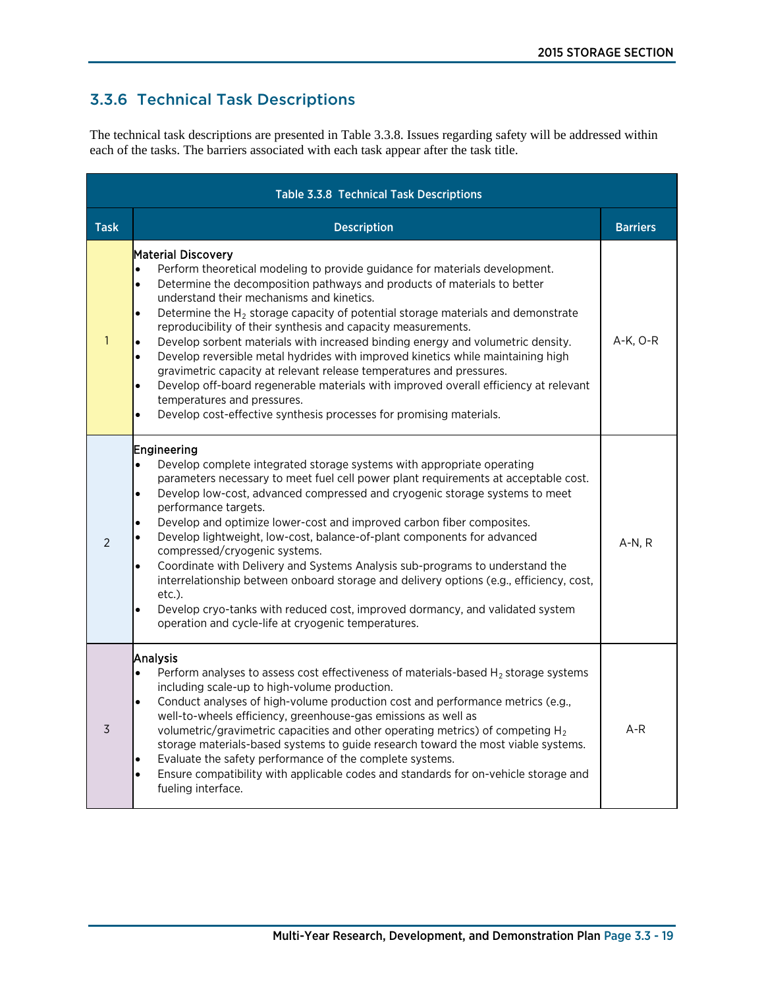# 3.3.6 Technical Task Descriptions

The technical task descriptions are presented in Table 3.3.8. Issues regarding safety will be addressed within each of the tasks. The barriers associated with each task appear after the task title.

|                | <b>Table 3.3.8 Technical Task Descriptions</b>                                                                                                                                                                                                                                                                                                                                                                                                                                                                                                                                                                                                                                                                                                                                                                                                                                                                      |                 |
|----------------|---------------------------------------------------------------------------------------------------------------------------------------------------------------------------------------------------------------------------------------------------------------------------------------------------------------------------------------------------------------------------------------------------------------------------------------------------------------------------------------------------------------------------------------------------------------------------------------------------------------------------------------------------------------------------------------------------------------------------------------------------------------------------------------------------------------------------------------------------------------------------------------------------------------------|-----------------|
| <b>Task</b>    | <b>Description</b>                                                                                                                                                                                                                                                                                                                                                                                                                                                                                                                                                                                                                                                                                                                                                                                                                                                                                                  | <b>Barriers</b> |
| $\mathbf{1}$   | <b>Material Discovery</b><br>Perform theoretical modeling to provide guidance for materials development.<br>$\bullet$<br>Determine the decomposition pathways and products of materials to better<br>$\bullet$<br>understand their mechanisms and kinetics.<br>Determine the $H_2$ storage capacity of potential storage materials and demonstrate<br>$\bullet$<br>reproducibility of their synthesis and capacity measurements.<br>Develop sorbent materials with increased binding energy and volumetric density.<br>Develop reversible metal hydrides with improved kinetics while maintaining high<br>$\bullet$<br>gravimetric capacity at relevant release temperatures and pressures.<br>Develop off-board regenerable materials with improved overall efficiency at relevant<br>$\bullet$<br>temperatures and pressures.<br>Develop cost-effective synthesis processes for promising materials.<br>$\bullet$ | $A-K$ , $O-R$   |
| 2              | Engineering<br>Develop complete integrated storage systems with appropriate operating<br>$\bullet$<br>parameters necessary to meet fuel cell power plant requirements at acceptable cost.<br>Develop low-cost, advanced compressed and cryogenic storage systems to meet<br>$\bullet$<br>performance targets.<br>Develop and optimize lower-cost and improved carbon fiber composites.<br>$\bullet$<br>Develop lightweight, low-cost, balance-of-plant components for advanced<br>compressed/cryogenic systems.<br>Coordinate with Delivery and Systems Analysis sub-programs to understand the<br>$\bullet$<br>interrelationship between onboard storage and delivery options (e.g., efficiency, cost,<br>etc.).<br>Develop cryo-tanks with reduced cost, improved dormancy, and validated system<br>$\bullet$<br>operation and cycle-life at cryogenic temperatures.                                              | $A-N, R$        |
| $\overline{3}$ | Analysis<br>Perform analyses to assess cost effectiveness of materials-based $H_2$ storage systems<br>$\bullet$<br>including scale-up to high-volume production.<br>Conduct analyses of high-volume production cost and performance metrics (e.g.,<br>$\bullet$<br>well-to-wheels efficiency, greenhouse-gas emissions as well as<br>volumetric/gravimetric capacities and other operating metrics) of competing $H_2$<br>storage materials-based systems to guide research toward the most viable systems.<br>Evaluate the safety performance of the complete systems.<br>$\bullet$<br>Ensure compatibility with applicable codes and standards for on-vehicle storage and<br>$\bullet$<br>fueling interface.                                                                                                                                                                                                      | $A-R$           |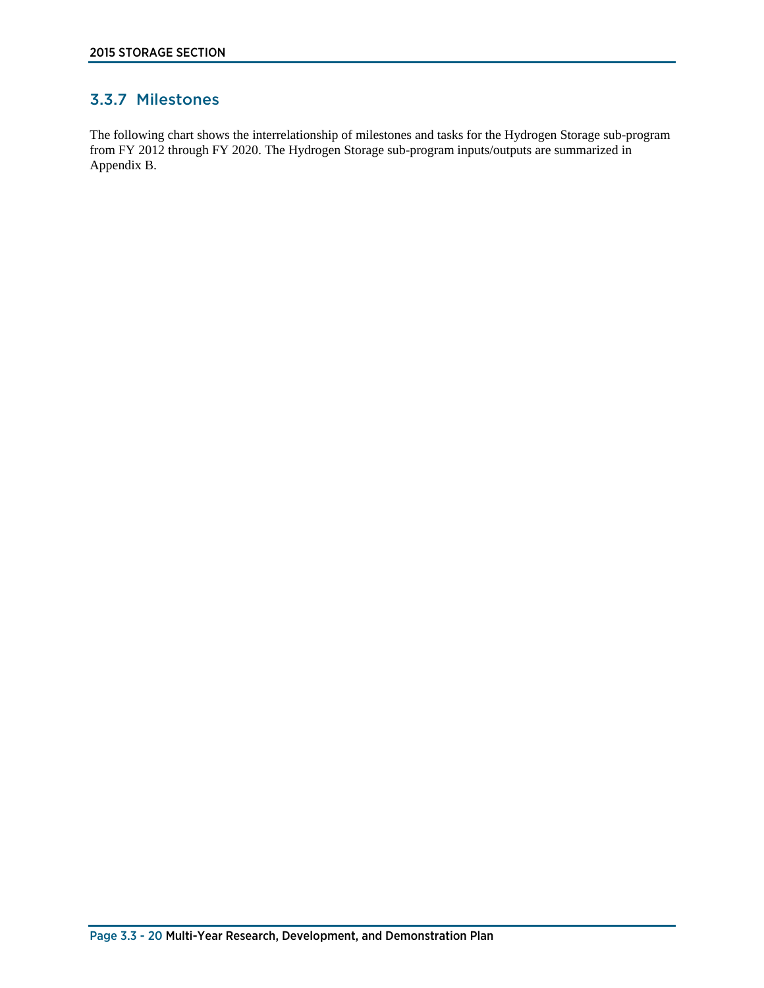# 3.3.7 Milestones

The following chart shows the interrelationship of milestones and tasks for the Hydrogen Storage sub-program from FY 2012 through FY 2020. The Hydrogen Storage sub-program inputs/outputs are summarized in Appendix B.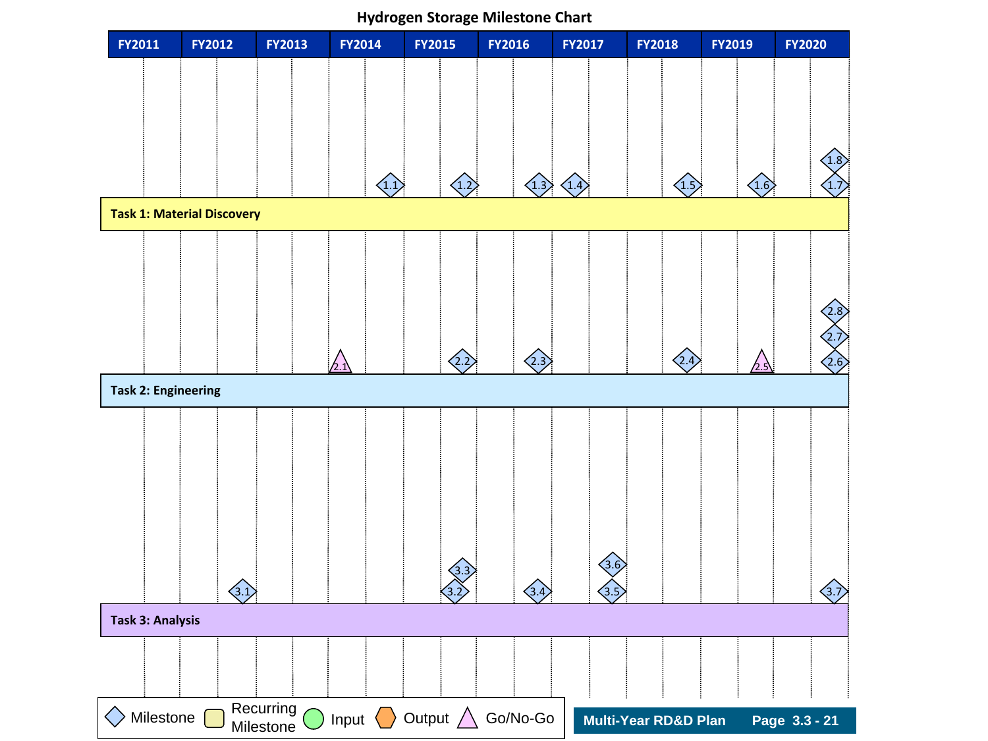**FY2011 FY2012 FY2013 FY2014 FY2015 FY2016 FY2017 FY2018 FY2019 FY2020**  $\Diamond$  Milestone  $\Box$  Necurring  $\bigcirc$  Input  $\Diamond$  Output  $\triangle$  Go/No-Go **Task 1: Material Discovery Task 2: Engineering**  Recurring **Task 3: Analysis** 4.1 1.2 1.3 1.4 1.5 1.6 1.7  $(1.8)$ 2.2  $\langle 2.3 \rangle$   $\langle 2.4 \rangle$   $\langle 2.6 \rangle$ 2.8  $\bigwedge$  $\left\langle \overline{3.1}\right\rangle$ 3.3 3.4  $(2.7)$  $(3.5)$  $(3.6)$  $\left\langle \stackrel{\frown}{3.7}\right\rangle$  $\triangle$ 

Milestone

**Hydrogen Storage Milestone Chart**

**Multi-Year RD&D Plan Page 3.3 - 21**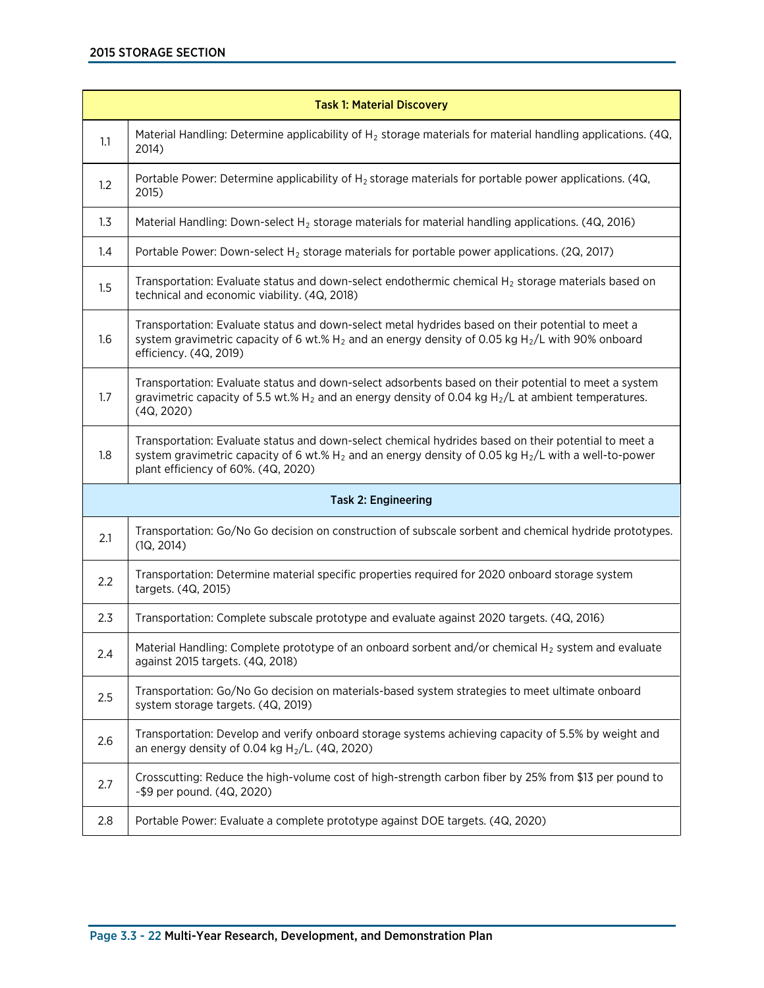|     | <b>Task 1: Material Discovery</b>                                                                                                                                                                                                                        |
|-----|----------------------------------------------------------------------------------------------------------------------------------------------------------------------------------------------------------------------------------------------------------|
| 1.1 | Material Handling: Determine applicability of $H_2$ storage materials for material handling applications. (4Q,<br>2014)                                                                                                                                  |
| 1.2 | Portable Power: Determine applicability of $H_2$ storage materials for portable power applications. (4Q,<br>2015)                                                                                                                                        |
| 1.3 | Material Handling: Down-select $H_2$ storage materials for material handling applications. (4Q, 2016)                                                                                                                                                    |
| 1.4 | Portable Power: Down-select $H_2$ storage materials for portable power applications. (2Q, 2017)                                                                                                                                                          |
| 1.5 | Transportation: Evaluate status and down-select endothermic chemical $H_2$ storage materials based on<br>technical and economic viability. (4Q, 2018)                                                                                                    |
| 1.6 | Transportation: Evaluate status and down-select metal hydrides based on their potential to meet a<br>system gravimetric capacity of 6 wt.% $H_2$ and an energy density of 0.05 kg $H_2/L$ with 90% onboard<br>efficiency. (4Q, 2019)                     |
| 1.7 | Transportation: Evaluate status and down-select adsorbents based on their potential to meet a system<br>gravimetric capacity of 5.5 wt.% $H_2$ and an energy density of 0.04 kg $H_2/L$ at ambient temperatures.<br>(4Q, 2020)                           |
| 1.8 | Transportation: Evaluate status and down-select chemical hydrides based on their potential to meet a<br>system gravimetric capacity of 6 wt.% $H_2$ and an energy density of 0.05 kg $H_2/L$ with a well-to-power<br>plant efficiency of 60%. (4Q, 2020) |
|     | <b>Task 2: Engineering</b>                                                                                                                                                                                                                               |
| 2.1 | Transportation: Go/No Go decision on construction of subscale sorbent and chemical hydride prototypes.<br>(1Q, 2014)                                                                                                                                     |
| 2.2 | Transportation: Determine material specific properties required for 2020 onboard storage system<br>targets. (4Q, 2015)                                                                                                                                   |
| 2.3 | Transportation: Complete subscale prototype and evaluate against 2020 targets. (4Q, 2016)                                                                                                                                                                |
| 2.4 | Material Handling: Complete prototype of an onboard sorbent and/or chemical $H_2$ system and evaluate<br>against 2015 targets. (4Q, 2018)                                                                                                                |
| 2.5 | Transportation: Go/No Go decision on materials-based system strategies to meet ultimate onboard<br>system storage targets. (4Q, 2019)                                                                                                                    |
| 2.6 | Transportation: Develop and verify onboard storage systems achieving capacity of 5.5% by weight and<br>an energy density of 0.04 kg $H_2/L$ . (4Q, 2020)                                                                                                 |
| 2.7 | Crosscutting: Reduce the high-volume cost of high-strength carbon fiber by 25% from \$13 per pound to<br>~\$9 per pound. (4Q, 2020)                                                                                                                      |
| 2.8 | Portable Power: Evaluate a complete prototype against DOE targets. (4Q, 2020)                                                                                                                                                                            |